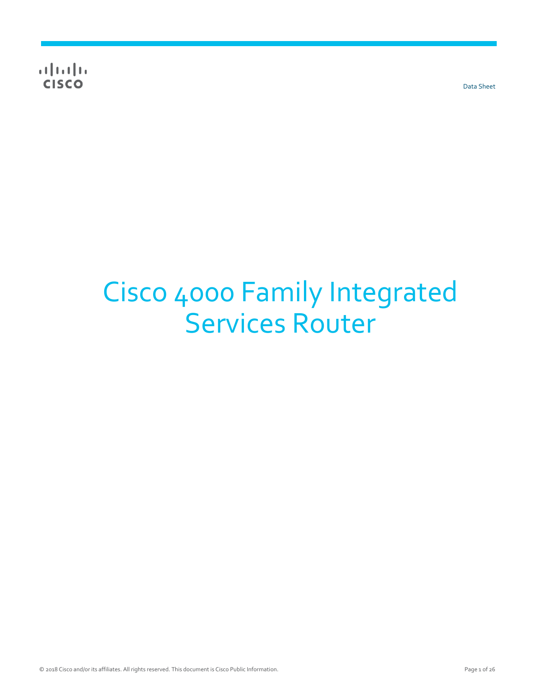**CISCO** 

Data Sheet

# Cisco 4000 Family Integrated Services Router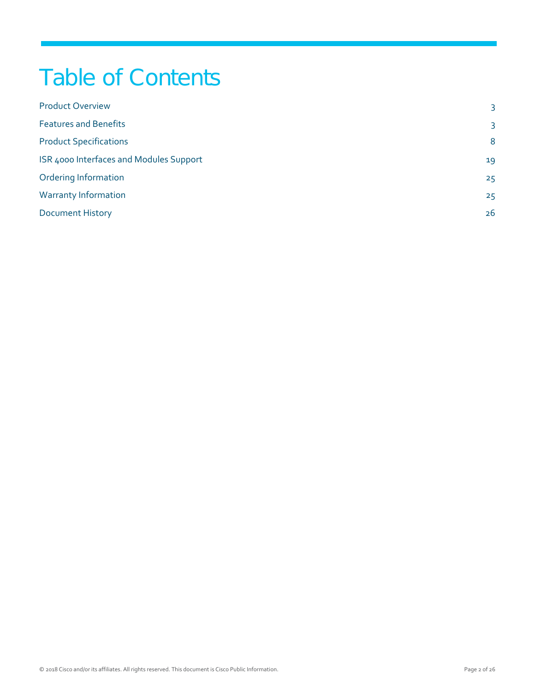## Table of Contents

| 3  |
|----|
| 3  |
| 8  |
| 19 |
| 25 |
| 25 |
| 26 |
|    |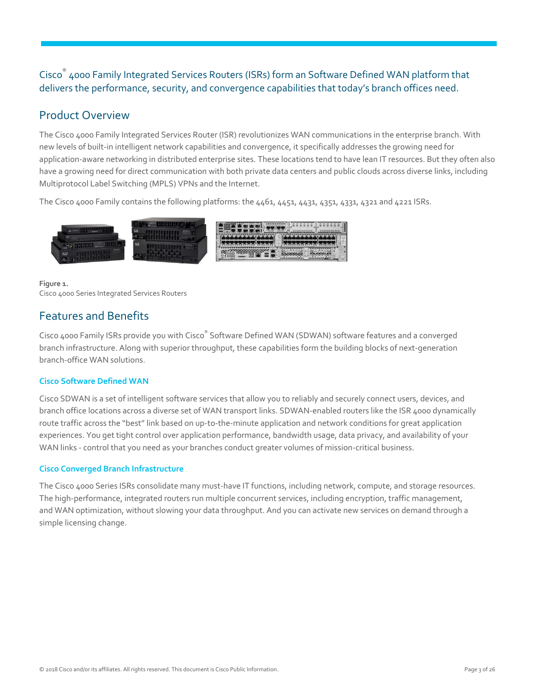Cisco® 4000 Family Integrated Services Routers (ISRs) form an Software Defined WAN platform that delivers the performance, security, and convergence capabilities that today's branch offices need.

## <span id="page-2-0"></span>Product Overview

The Cisco 4000 Family Integrated Services Router (ISR) revolutionizes WAN communications in the enterprise branch. With new levels of built-in intelligent network capabilities and convergence, it specifically addresses the growing need for application-aware networking in distributed enterprise sites. These locations tend to have lean IT resources. But they often also have a growing need for direct communication with both private data centers and public clouds across diverse links, including Multiprotocol Label Switching (MPLS) VPNs and the Internet.

The Cisco 4000 Family contains the following platforms: the 4461, 4451, 4431, 4351, 4331, 4321 and 4221 ISRs.



#### **Figure 1.**  Cisco 4000 Series Integrated Services Routers

## <span id="page-2-1"></span>Features and Benefits

Cisco 4000 Family ISRs provide you with Cisco® Software Defined WAN (SDWAN) software features and a converged branch infrastructure. Along with superior throughput, these capabilities form the building blocks of next-generation branch-office WAN solutions.

#### **Cisco Software Defined WAN**

Cisco SDWAN is a set of intelligent software services that allow you to reliably and securely connect users, devices, and branch office locations across a diverse set of WAN transport links. SDWAN-enabled routers like the ISR 4000 dynamically route traffic across the "best" link based on up-to-the-minute application and network conditions for great application experiences. You get tight control over application performance, bandwidth usage, data privacy, and availability of your WAN links - control that you need as your branches conduct greater volumes of mission-critical business.

#### **Cisco Converged Branch Infrastructure**

The Cisco 4000 Series ISRs consolidate many must-have IT functions, including network, compute, and storage resources. The high-performance, integrated routers run multiple concurrent services, including encryption, traffic management, and WAN optimization, without slowing your data throughput. And you can activate new services on demand through a simple licensing change.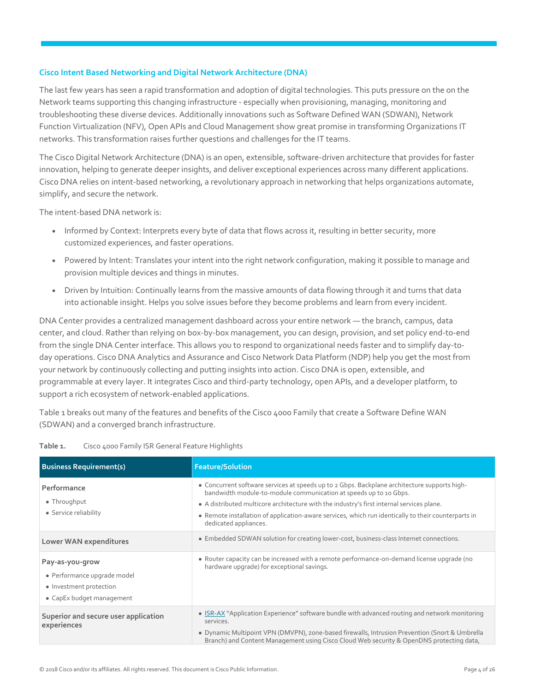#### **Cisco Intent Based Networking and Digital Network Architecture (DNA)**

The last few years has seen a rapid transformation and adoption of digital technologies. This puts pressure on the on the Network teams supporting this changing infrastructure - especially when provisioning, managing, monitoring and troubleshooting these diverse devices. Additionally innovations such as Software Defined WAN (SDWAN), Network Function Virtualization (NFV), Open APIs and Cloud Management show great promise in transforming Organizations IT networks. This transformation raises further questions and challenges for the IT teams.

The Cisco Digital Network Architecture (DNA) is an open, extensible, software-driven architecture that provides for faster innovation, helping to generate deeper insights, and deliver exceptional experiences across many different applications. Cisco DNA relies on intent-based networking, a revolutionary approach in networking that helps organizations automate, simplify, and secure the network.

The intent-based DNA network is:

- Informed by Context: Interprets every byte of data that flows across it, resulting in better security, more customized experiences, and faster operations.
- Powered by Intent: Translates your intent into the right network configuration, making it possible to manage and provision multiple devices and things in minutes.
- Driven by Intuition: Continually learns from the massive amounts of data flowing through it and turns that data into actionable insight. Helps you solve issues before they become problems and learn from every incident.

DNA Center provides a centralized management dashboard across your entire network — the branch, campus, data center, and cloud. Rather than relying on box-by-box management, you can design, provision, and set policy end-to-end from the single DNA Center interface. This allows you to respond to organizational needs faster and to simplify day-today operations. Cisco DNA Analytics and Assurance and Cisco Network Data Platform (NDP) help you get the most from your network by continuously collecting and putting insights into action. Cisco DNA is open, extensible, and programmable at every layer. It integrates Cisco and third-party technology, open APIs, and a developer platform, to support a rich ecosystem of network-enabled applications.

Table 1 breaks out many of the features and benefits of the Cisco 4000 Family that create a Software Define WAN (SDWAN) and a converged branch infrastructure.

| <b>Business Requirement(s)</b>                                                                         | <b>Feature/Solution</b>                                                                                                                                                                                                                                                                                                                                                                        |
|--------------------------------------------------------------------------------------------------------|------------------------------------------------------------------------------------------------------------------------------------------------------------------------------------------------------------------------------------------------------------------------------------------------------------------------------------------------------------------------------------------------|
| Performance<br>• Throughput<br>• Service reliability                                                   | • Concurrent software services at speeds up to 2 Gbps. Backplane architecture supports high-<br>bandwidth module-to-module communication at speeds up to 10 Gbps.<br>• A distributed multicore architecture with the industry's first internal services plane.<br>• Remote installation of application-aware services, which run identically to their counterparts in<br>dedicated appliances. |
| Lower WAN expenditures                                                                                 | • Embedded SDWAN solution for creating lower-cost, business-class Internet connections.                                                                                                                                                                                                                                                                                                        |
| Pay-as-you-grow<br>• Performance upgrade model<br>• Investment protection<br>• CapEx budget management | • Router capacity can be increased with a remote performance-on-demand license upgrade (no<br>hardware upgrade) for exceptional savings.                                                                                                                                                                                                                                                       |
| Superior and secure user application<br>experiences                                                    | • ISR-AX "Application Experience" software bundle with advanced routing and network monitoring<br>services.<br>• Dynamic Multipoint VPN (DMVPN), zone-based firewalls, Intrusion Prevention (Snort & Umbrella<br>Branch) and Content Management using Cisco Cloud Web security & OpenDNS protecting data,                                                                                      |

| Table 1. | Cisco 4000 Family ISR General Feature Highlights |  |  |
|----------|--------------------------------------------------|--|--|
|          |                                                  |  |  |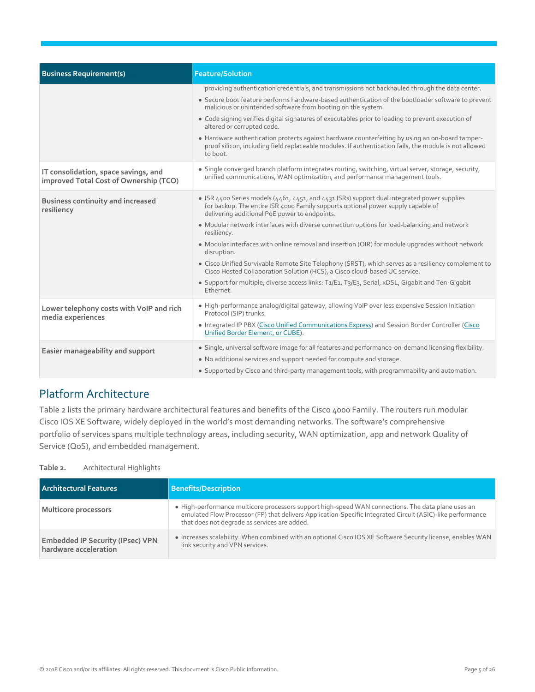| providing authentication credentials, and transmissions not backhauled through the data center.<br>• Secure boot feature performs hardware-based authentication of the bootloader software to prevent                            |
|----------------------------------------------------------------------------------------------------------------------------------------------------------------------------------------------------------------------------------|
| malicious or unintended software from booting on the system.                                                                                                                                                                     |
| • Code signing verifies digital signatures of executables prior to loading to prevent execution of<br>altered or corrupted code.                                                                                                 |
| • Hardware authentication protects against hardware counterfeiting by using an on-board tamper-<br>proof silicon, including field replaceable modules. If authentication fails, the module is not allowed<br>to boot.            |
| • Single converged branch platform integrates routing, switching, virtual server, storage, security,<br>unified communications, WAN optimization, and performance management tools.                                              |
| • ISR 4400 Series models (4461, 4451, and 4431 ISRs) support dual integrated power supplies<br>for backup. The entire ISR 4000 Family supports optional power supply capable of<br>delivering additional PoE power to endpoints. |
| • Modular network interfaces with diverse connection options for load-balancing and network<br>resiliency.                                                                                                                       |
| • Modular interfaces with online removal and insertion (OIR) for module upgrades without network<br>disruption.                                                                                                                  |
| • Cisco Unified Survivable Remote Site Telephony (SRST), which serves as a resiliency complement to<br>Cisco Hosted Collaboration Solution (HCS), a Cisco cloud-based UC service.                                                |
| • Support for multiple, diverse access links: T <sub>1</sub> /E <sub>1</sub> , T <sub>3</sub> /E <sub>3</sub> , Serial, xDSL, Gigabit and Ten-Gigabit<br>Ethernet.                                                               |
| • High-performance analog/digital gateway, allowing VoIP over less expensive Session Initiation<br>Protocol (SIP) trunks.                                                                                                        |
| . Integrated IP PBX (Cisco Unified Communications Express) and Session Border Controller (Cisco<br>Unified Border Element, or CUBE).                                                                                             |
| • Single, universal software image for all features and performance-on-demand licensing flexibility.                                                                                                                             |
| • No additional services and support needed for compute and storage.<br>• Supported by Cisco and third-party management tools, with programmability and automation.                                                              |
|                                                                                                                                                                                                                                  |

## Platform Architecture

Table 2 lists the primary hardware architectural features and benefits of the Cisco 4000 Family. The routers run modular Cisco IOS XE Software, widely deployed in the world's most demanding networks. The software's comprehensive portfolio of services spans multiple technology areas, including security, WAN optimization, app and network Quality of Service (QoS), and embedded management.

**Table 2.** Architectural Highlights

| <b>Architectural Features</b>                                    | <b>Benefits/Description</b>                                                                                                                                                                                                                                      |
|------------------------------------------------------------------|------------------------------------------------------------------------------------------------------------------------------------------------------------------------------------------------------------------------------------------------------------------|
| Multicore processors                                             | • High-performance multicore processors support high-speed WAN connections. The data plane uses an<br>emulated Flow Processor (FP) that delivers Application-Specific Integrated Circuit (ASIC)-like performance<br>that does not degrade as services are added. |
| <b>Embedded IP Security (IPsec) VPN</b><br>hardware acceleration | • Increases scalability. When combined with an optional Cisco IOS XE Software Security license, enables WAN<br>link security and VPN services.                                                                                                                   |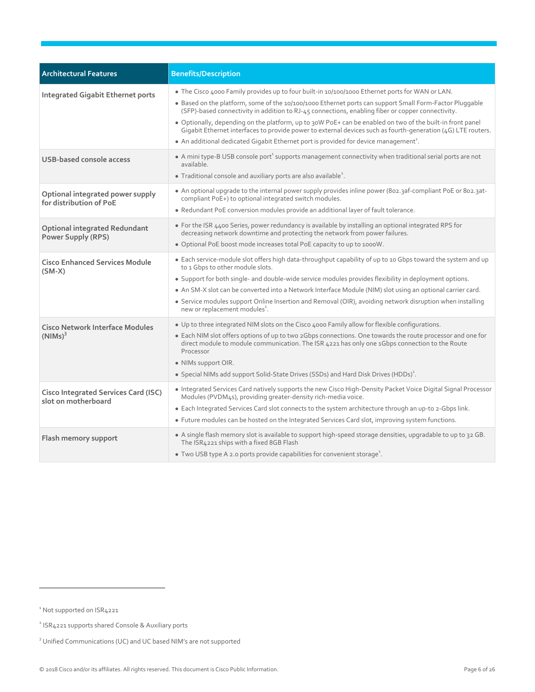| <b>Architectural Features</b>                                      | <b>Benefits/Description</b>                                                                                                                                                                                                                                                                                                                                                                                                                                                                                                                                                                                                                      |
|--------------------------------------------------------------------|--------------------------------------------------------------------------------------------------------------------------------------------------------------------------------------------------------------------------------------------------------------------------------------------------------------------------------------------------------------------------------------------------------------------------------------------------------------------------------------------------------------------------------------------------------------------------------------------------------------------------------------------------|
| <b>Integrated Gigabit Ethernet ports</b>                           | • The Cisco 4000 Family provides up to four built-in 10/100/1000 Ethernet ports for WAN or LAN.<br>• Based on the platform, some of the 10/100/1000 Ethernet ports can support Small Form-Factor Pluggable<br>(SFP)-based connectivity in addition to RJ-45 connections, enabling fiber or copper connectivity.<br>• Optionally, depending on the platform, up to 30W PoE+ can be enabled on two of the built-in front panel<br>Gigabit Ethernet interfaces to provide power to external devices such as fourth-generation (4G) LTE routers.<br>• An additional dedicated Gigabit Ethernet port is provided for device management <sup>1</sup> . |
| <b>USB-based console access</b>                                    | • A mini type-B USB console port <sup>1</sup> supports management connectivity when traditional serial ports are not<br>available.<br>• Traditional console and auxiliary ports are also available <sup>2</sup> .                                                                                                                                                                                                                                                                                                                                                                                                                                |
| Optional integrated power supply<br>for distribution of PoE        | • An optional upgrade to the internal power supply provides inline power (802.3af-compliant PoE or 802.3at-<br>compliant PoE+) to optional integrated switch modules.<br>• Redundant PoE conversion modules provide an additional layer of fault tolerance.                                                                                                                                                                                                                                                                                                                                                                                      |
| <b>Optional integrated Redundant</b><br><b>Power Supply (RPS)</b>  | • For the ISR 4400 Series, power redundancy is available by installing an optional integrated RPS for<br>decreasing network downtime and protecting the network from power failures.<br>. Optional PoE boost mode increases total PoE capacity to up to 1000W.                                                                                                                                                                                                                                                                                                                                                                                   |
| <b>Cisco Enhanced Services Module</b><br>$(SM-X)$                  | • Each service-module slot offers high data-throughput capability of up to 10 Gbps toward the system and up<br>to 1 Gbps to other module slots.<br>• Support for both single- and double-wide service modules provides flexibility in deployment options.<br>• An SM-X slot can be converted into a Network Interface Module (NIM) slot using an optional carrier card.<br>• Service modules support Online Insertion and Removal (OIR), avoiding network disruption when installing<br>new or replacement modules <sup>1</sup> .                                                                                                                |
| <b>Cisco Network Interface Modules</b><br>$(NIMs)^3$               | . Up to three integrated NIM slots on the Cisco 4000 Family allow for flexible configurations.<br>• Each NIM slot offers options of up to two 2Gbps connections. One towards the route processor and one for<br>direct module to module communication. The ISR 4221 has only one 1Gbps connection to the Route<br>Processor<br>• NIMs support OIR.<br>• Special NIMs add support Solid-State Drives (SSDs) and Hard Disk Drives (HDDs) <sup>1</sup> .                                                                                                                                                                                            |
| <b>Cisco Integrated Services Card (ISC)</b><br>slot on motherboard | • Integrated Services Card natively supports the new Cisco High-Density Packet Voice Digital Signal Processor<br>Modules (PVDM4s), providing greater-density rich-media voice.<br>• Each Integrated Services Card slot connects to the system architecture through an up-to 2-Gbps link.<br>• Future modules can be hosted on the Integrated Services Card slot, improving system functions.                                                                                                                                                                                                                                                     |
| Flash memory support                                               | . A single flash memory slot is available to support high-speed storage densities, upgradable to up to 32 GB.<br>The ISR4221 ships with a fixed 8GB Flash<br>• Two USB type A 2.0 ports provide capabilities for convenient storage <sup>1</sup> .                                                                                                                                                                                                                                                                                                                                                                                               |

<span id="page-5-0"></span><sup>&</sup>lt;sup>1</sup> Not supported on ISR4221

<sup>&</sup>lt;sup>2</sup> ISR4221 supports shared Console & Auxiliary ports

<sup>&</sup>lt;sup>3</sup> Unified Communications (UC) and UC based NIM's are not supported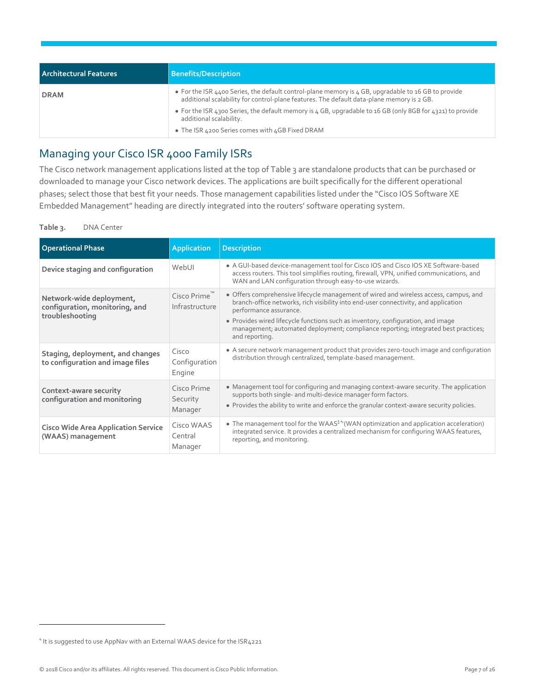| Architectural Features | <b>Benefits/Description</b>                                                                                                                                                                      |
|------------------------|--------------------------------------------------------------------------------------------------------------------------------------------------------------------------------------------------|
| <b>DRAM</b>            | • For the ISR 4400 Series, the default control-plane memory is 4 GB, upgradable to 16 GB to provide<br>additional scalability for control-plane features. The default data-plane memory is 2 GB. |
|                        | • For the ISR 4300 Series, the default memory is 4 GB, upgradable to 16 GB (only 8GB for 4321) to provide<br>additional scalability.                                                             |
|                        | • The ISR 4200 Series comes with 4GB Fixed DRAM                                                                                                                                                  |

## Managing your Cisco ISR 4000 Family ISRs

The Cisco network management applications listed at the top of Table 3 are standalone products that can be purchased or downloaded to manage your Cisco network devices. The applications are built specifically for the different operational phases; select those that best fit your needs. Those management capabilities listed under the "Cisco IOS Software XE Embedded Management" heading are directly integrated into the routers' software operating system.

#### **Table 3.** DNA Center

| <b>Operational Phase</b>                                                      | <b>Application</b>                 | <b>Description</b>                                                                                                                                                                                                                                                                                                                                                                                 |
|-------------------------------------------------------------------------------|------------------------------------|----------------------------------------------------------------------------------------------------------------------------------------------------------------------------------------------------------------------------------------------------------------------------------------------------------------------------------------------------------------------------------------------------|
| Device staging and configuration                                              | WebUI                              | • A GUI-based device-management tool for Cisco IOS and Cisco IOS XE Software-based<br>access routers. This tool simplifies routing, firewall, VPN, unified communications, and<br>WAN and LAN configuration through easy-to-use wizards.                                                                                                                                                           |
| Network-wide deployment,<br>configuration, monitoring, and<br>troubleshooting | Cisco Prime<br>Infrastructure      | • Offers comprehensive lifecycle management of wired and wireless access, campus, and<br>branch-office networks, rich visibility into end-user connectivity, and application<br>performance assurance.<br>• Provides wired lifecycle functions such as inventory, configuration, and image<br>management; automated deployment; compliance reporting; integrated best practices;<br>and reporting. |
| Staging, deployment, and changes<br>to configuration and image files          | Cisco<br>Configuration<br>Engine   | • A secure network management product that provides zero-touch image and configuration<br>distribution through centralized, template-based management.                                                                                                                                                                                                                                             |
| Context-aware security<br>configuration and monitoring                        | Cisco Prime<br>Security<br>Manager | • Management tool for configuring and managing context-aware security. The application<br>supports both single- and multi-device manager form factors.<br>• Provides the ability to write and enforce the granular context-aware security policies.                                                                                                                                                |
| <b>Cisco Wide Area Application Service</b><br>(WAAS) management               | Cisco WAAS<br>Central<br>Manager   | • The management tool for the WAAS <sup><math>2.4</math></sup> (WAN optimization and application acceleration)<br>integrated service. It provides a centralized mechanism for configuring WAAS features,<br>reporting, and monitoring.                                                                                                                                                             |

<sup>&</sup>lt;sup>4</sup> It is suggested to use AppNav with an External WAAS device for the ISR4221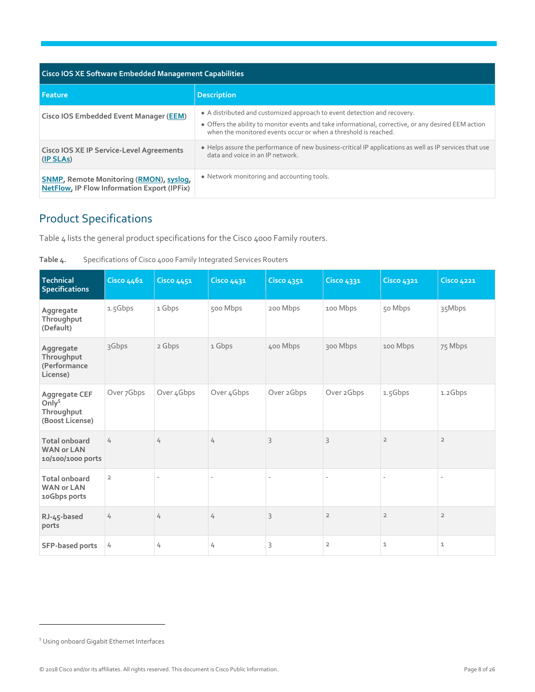| <b>Cisco IOS XE Software Embedded Management Capabilities</b>                                        |                                                                                                                                                                                                                                                     |  |  |  |  |
|------------------------------------------------------------------------------------------------------|-----------------------------------------------------------------------------------------------------------------------------------------------------------------------------------------------------------------------------------------------------|--|--|--|--|
| l Feature                                                                                            | <b>Description</b>                                                                                                                                                                                                                                  |  |  |  |  |
| <b>Cisco IOS Embedded Event Manager (EEM)</b>                                                        | • A distributed and customized approach to event detection and recovery.<br>• Offers the ability to monitor events and take informational, corrective, or any desired EEM action<br>when the monitored events occur or when a threshold is reached. |  |  |  |  |
| <b>Cisco IOS XE IP Service-Level Agreements</b><br>(IP SLAs)                                         | • Helps assure the performance of new business-critical IP applications as well as IP services that use<br>data and voice in an IP network.                                                                                                         |  |  |  |  |
| <b>SNMP, Remote Monitoring (RMON), syslog,</b><br><b>NetFlow, IP Flow Information Export (IPFix)</b> | • Network monitoring and accounting tools.                                                                                                                                                                                                          |  |  |  |  |

## <span id="page-7-0"></span>Product Specifications

Table 4 lists the general product specifications for the Cisco 4000 Family routers.

| Technical<br><b>Specifications</b>                             | <b>Cisco 4461</b> | <b>Cisco 4451</b>        | <b>Cisco 4431</b>        | <b>Cisco 4351</b> | <b>Cisco 4331</b>        | <b>Cisco 4321</b>        | <b>Cisco 4221</b> |
|----------------------------------------------------------------|-------------------|--------------------------|--------------------------|-------------------|--------------------------|--------------------------|-------------------|
| Aggregate<br>Throughput<br>(Default)                           | 1.5Gbps           | 1 Gbps                   | 500 Mbps                 | 200 Mbps          | 100 Mbps                 | 50 Mbps                  | 35Mbps            |
| Aggregate<br>Throughput<br>(Performance<br>License)            | 3Gbps             | 2 Gbps                   | 1 Gbps                   | 400 Mbps          | 300 Mbps                 | 100 Mbps                 | 75 Mbps           |
| Aggregate CEF<br>Only $5$<br>Throughput<br>(Boost License)     | Over 7Gbps        | Over 4Gbps               | Over 4Gbps               | Over 2Gbps        | Over 2Gbps               | 1.5Gbps                  | 1.2Gbps           |
| <b>Total onboard</b><br><b>WAN or LAN</b><br>10/100/1000 ports | 4                 | 4                        | 4                        | 3                 | 3                        | $\overline{2}$           | $\overline{2}$    |
| <b>Total onboard</b><br><b>WAN or LAN</b><br>10Gbps ports      | $\overline{2}$    | $\overline{\phantom{a}}$ | $\overline{\phantom{a}}$ |                   | $\overline{\phantom{a}}$ | $\overline{\phantom{0}}$ |                   |
| RJ-45-based<br>ports                                           | 4                 | 4                        | 4                        | 3                 | $\overline{2}$           | $\overline{2}$           | $\overline{2}$    |
| SFP-based ports                                                | 4                 | 4                        | 4                        | 3                 | $\overline{2}$           | $\mathbf 1$              | $\mathbf 1$       |

| Table 4. | Specifications of Cisco 4000 Family Integrated Services Routers |  |
|----------|-----------------------------------------------------------------|--|
|          |                                                                 |  |

<sup>&</sup>lt;sup>5</sup> Using onboard Gigabit Ethernet Interfaces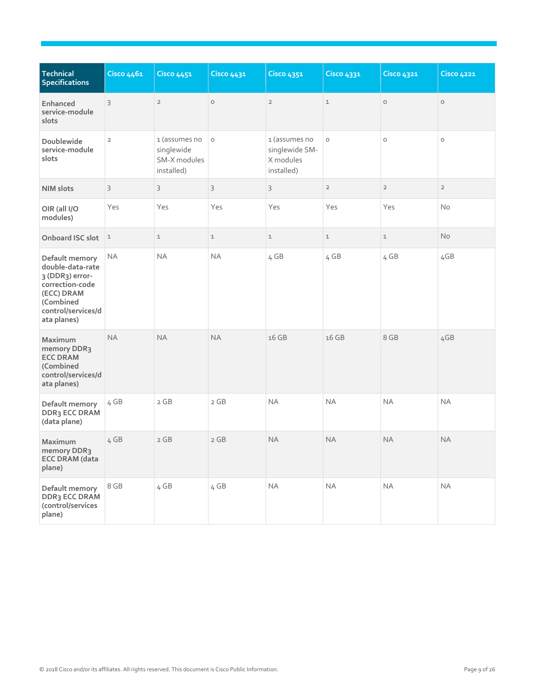| Technical<br><b>Specifications</b>                                                                                                       | <b>Cisco 4461</b> | <b>Cisco 4451</b>                                         | <b>Cisco 4431</b> | <b>Cisco 4351</b>                                          | <b>Cisco 4331</b> | <b>Cisco 4321</b> | <b>Cisco 4221</b> |
|------------------------------------------------------------------------------------------------------------------------------------------|-------------------|-----------------------------------------------------------|-------------------|------------------------------------------------------------|-------------------|-------------------|-------------------|
| Enhanced<br>service-module<br>slots                                                                                                      | 3                 | $\overline{2}$                                            | $\circ$           | $\overline{2}$                                             | $\mathbf 1$       | $\circ$           | $\circ$           |
| Doublewide<br>service-module<br>slots                                                                                                    | $\overline{2}$    | 1 (assumes no<br>singlewide<br>SM-X modules<br>installed) | $\circ$           | 1 (assumes no<br>singlewide SM-<br>X modules<br>installed) | $\circ$           | $\circ$           | $\circ$           |
| <b>NIM slots</b>                                                                                                                         | 3                 | 3                                                         | 3                 | 3                                                          | $\overline{2}$    | $\overline{2}$    | $\overline{2}$    |
| OIR (all I/O<br>modules)                                                                                                                 | Yes               | Yes                                                       | Yes               | Yes                                                        | Yes               | Yes               | <b>No</b>         |
| Onboard ISC slot                                                                                                                         | $\mathbf{1}$      | $\mathbf{1}$                                              | $\mathbf 1$       | $\mathbf 1$                                                | $\mathbf 1$       | $\mathbf 1$       | <b>No</b>         |
| Default memory<br>double-data-rate<br>3 (DDR3) error-<br>correction-code<br>(ECC) DRAM<br>(Combined<br>control/services/d<br>ata planes) | <b>NA</b>         | <b>NA</b>                                                 | <b>NA</b>         | 4 GB                                                       | 4 GB              | 4 GB              | 4GB               |
| Maximum<br>memory DDR3<br><b>ECC DRAM</b><br>(Combined<br>control/services/d<br>ata planes)                                              | <b>NA</b>         | <b>NA</b>                                                 | <b>NA</b>         | 16 GB                                                      | 16 GB             | 8 GB              | 4GB               |
| Default memory<br>DDR3 ECC DRAM<br>(data plane)                                                                                          | 4 GB              | 2 GB                                                      | 2 GB              | <b>NA</b>                                                  | <b>NA</b>         | <b>NA</b>         | <b>NA</b>         |
| Maximum<br>memory DDR3<br><b>ECC DRAM (data</b><br>plane)                                                                                | 4 GB              | 2 GB                                                      | 2 GB              | <b>NA</b>                                                  | <b>NA</b>         | <b>NA</b>         | <b>NA</b>         |
| Default memory<br>DDR3 ECC DRAM<br>(control/services<br>plane)                                                                           | 8 GB              | 4 GB                                                      | 4 GB              | NA                                                         | $\sf NA$          | NA                | NA                |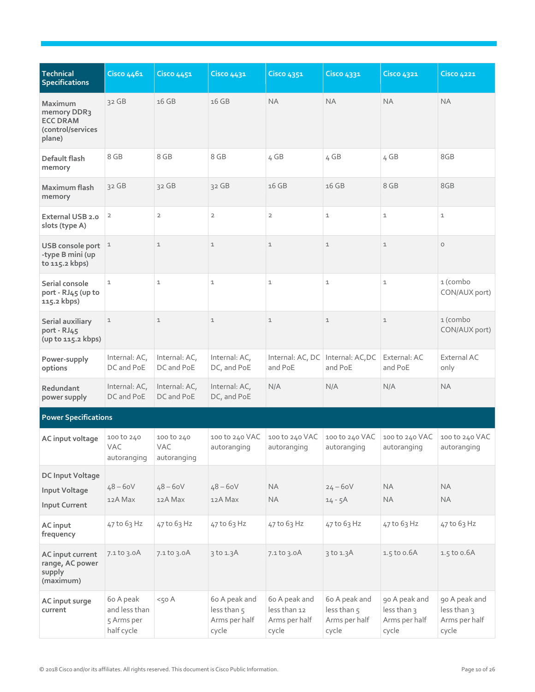| <b>Technical</b><br><b>Specifications</b>                                | Cisco 4461                                             | <b>Cisco 4451</b>                       | <b>Cisco 4431</b>                                      | <b>Cisco 4351</b>                                       | <b>Cisco 4331</b>                                      | <b>Cisco 4321</b>                                      | <b>Cisco 4221</b>                                      |
|--------------------------------------------------------------------------|--------------------------------------------------------|-----------------------------------------|--------------------------------------------------------|---------------------------------------------------------|--------------------------------------------------------|--------------------------------------------------------|--------------------------------------------------------|
| Maximum<br>memory DDR3<br><b>ECC DRAM</b><br>(control/services<br>plane) | $32$ GB                                                | 16 GB                                   | 16 GB                                                  | <b>NA</b>                                               | <b>NA</b>                                              | <b>NA</b>                                              | <b>NA</b>                                              |
| Default flash<br>memory                                                  | 8 GB                                                   | 8 GB                                    | 8 GB                                                   | 4 GB                                                    | 4 GB                                                   | 4 GB                                                   | 8GB                                                    |
| Maximum flash<br>memory                                                  | $32$ GB                                                | 32 GB                                   | 32 GB                                                  | 16 GB                                                   | 16 GB                                                  | 8 GB                                                   | 8GB                                                    |
| External USB 2.0<br>slots (type A)                                       | $\overline{2}$                                         | $\overline{2}$                          | $\mathbf 2$                                            | $\overline{2}$                                          | $\mathbf 1$                                            | $\mathbf 1$                                            | $\mathtt 1$                                            |
| USB console port<br>-type B mini (up<br>to 115.2 kbps)                   | $\mathbf{1}$                                           | $\mathbf 1$                             | $\mathbf 1$                                            | $\mathbf 1$                                             | $\mathbf 1$                                            | $\mathbbm{1}$                                          | $\circ$                                                |
| Serial console<br>port - RJ45 (up to<br>115.2 kbps)                      | $\mathbf 1$                                            | $\mathbf 1$                             | $\mathbf 1$                                            | $\mathbf{1}$                                            | $\mathbf 1$                                            | $\mathbf 1$                                            | 1 (combo<br>CON/AUX port)                              |
| Serial auxiliary<br>port - RJ45<br>(up to 115.2 kbps)                    | $\mathbf 1$                                            | $\mathbf 1$                             | $\mathbbm{1}$                                          | $\mathbf 1$                                             | $\mathbf 1$                                            | $\mathbbm{1}$                                          | 1 (combo<br>CON/AUX port)                              |
| Power-supply<br>options                                                  | Internal: AC,<br>DC and PoE                            | Internal: AC,<br>DC and PoE             | Internal: AC,<br>DC, and PoE                           | and PoE                                                 | Internal: AC, DC   Internal: AC, DC<br>and PoE         | External: AC<br>and PoE                                | External AC<br>only                                    |
| Redundant<br>power supply                                                | Internal: AC,<br>DC and PoE                            | Internal: AC,<br>DC and PoE             | Internal: AC,<br>DC, and PoE                           | N/A                                                     | N/A                                                    | N/A                                                    | <b>NA</b>                                              |
| <b>Power Specifications</b>                                              |                                                        |                                         |                                                        |                                                         |                                                        |                                                        |                                                        |
| AC input voltage                                                         | 100 to 240<br>VAC<br>autoranging                       | 100 to 240<br><b>VAC</b><br>autoranging | 100 to 240 VAC<br>autoranging                          | 100 to 240 VAC<br>autoranging                           | 100 to 240 VAC<br>autoranging                          | 100 to 240 VAC<br>autoranging                          | 100 to 240 VAC<br>autoranging                          |
| <b>DC Input Voltage</b><br>Input Voltage<br>Input Current                | $48 - 60V$<br>12A Max                                  | $48 - 60V$<br>12A Max                   | $48 - 60V$<br>12A Max                                  | <b>NA</b><br><b>NA</b>                                  | $24 - 60V$<br>$14 - 5A$                                | <b>NA</b><br><b>NA</b>                                 | <b>NA</b><br><b>NA</b>                                 |
| AC input<br>frequency                                                    | 47 to 63 Hz                                            | 47 to 63 Hz                             | 47 to 63 Hz                                            | 47 to 63 Hz                                             | 47 to 63 Hz                                            | 47 to 63 Hz                                            | 47 to 63 Hz                                            |
| AC input current<br>range, AC power<br>supply<br>(maximum)               | $7.1$ to $3.0A$                                        | $7.1$ to $3.0$ A                        | 3 to 1.3A                                              | 7.1 to 3.0A                                             | 3 to 1.3A                                              | 1.5 to 0.6A                                            | 1.5 to 0.6A                                            |
| AC input surge<br>current                                                | 60 A peak<br>and less than<br>5 Arms per<br>half cycle | $<$ 50 A                                | 6o A peak and<br>less than 5<br>Arms per half<br>cycle | 6o A peak and<br>less than 12<br>Arms per half<br>cycle | 6o A peak and<br>less than 5<br>Arms per half<br>cycle | 90 A peak and<br>less than 3<br>Arms per half<br>cycle | 90 A peak and<br>less than 3<br>Arms per half<br>cycle |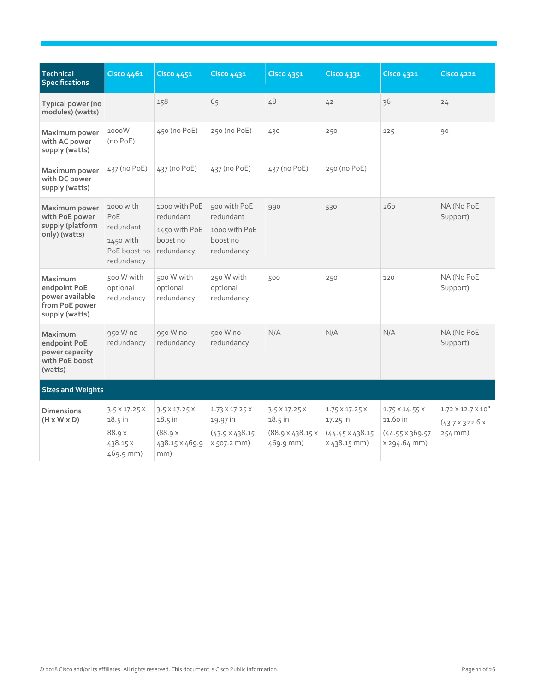| Technical<br><b>Specifications</b>                                             | Cisco 4461                                                                | <b>Cisco 4451</b>                                                          | <b>Cisco 4431</b>                                                               | <b>Cisco 4351</b>                                                                 | <b>Cisco 4331</b>                                                                   | <b>Cisco 4321</b>                                                                 | <b>Cisco 4221</b>                                                           |
|--------------------------------------------------------------------------------|---------------------------------------------------------------------------|----------------------------------------------------------------------------|---------------------------------------------------------------------------------|-----------------------------------------------------------------------------------|-------------------------------------------------------------------------------------|-----------------------------------------------------------------------------------|-----------------------------------------------------------------------------|
| Typical power (no<br>modules) (watts)                                          |                                                                           | 158                                                                        | 65                                                                              | 48                                                                                | 42                                                                                  | 36                                                                                | 24                                                                          |
| Maximum power<br>with AC power<br>supply (watts)                               | 1000W<br>(no PoE)                                                         | 450 (no PoE)                                                               | 250 (no PoE)                                                                    | 430                                                                               | 250                                                                                 | 125                                                                               | 90                                                                          |
| Maximum power<br>with DC power<br>supply (watts)                               | 437 (no PoE)                                                              | 437 (no PoE)                                                               | 437 (no PoE)                                                                    | 437 (no PoE)                                                                      | 250 (no PoE)                                                                        |                                                                                   |                                                                             |
| Maximum power<br>with PoE power<br>supply (platform<br>only) (watts)           | 1000 with<br>PoE<br>redundant<br>1450 with<br>PoE boost no<br>redundancy  | 1000 with PoE<br>redundant<br>1450 with PoE<br>boost no<br>redundancy      | 500 with PoE<br>redundant<br>1000 with PoE<br>boost no<br>redundancy            | 990                                                                               | 530                                                                                 | 260                                                                               | NA (No PoE<br>Support)                                                      |
| Maximum<br>endpoint PoE<br>power available<br>from PoE power<br>supply (watts) | 500 W with<br>optional<br>redundancy                                      | 500 W with<br>optional<br>redundancy                                       | 250 W with<br>optional<br>redundancy                                            | 500                                                                               | 250                                                                                 | 120                                                                               | NA (No PoE<br>Support)                                                      |
| Maximum<br>endpoint PoE<br>power capacity<br>with PoE boost<br>(watts)         | 950 W no<br>redundancy                                                    | 950 W no<br>redundancy                                                     | 500 W no<br>redundancy                                                          | N/A                                                                               | N/A                                                                                 | N/A                                                                               | NA (No PoE<br>Support)                                                      |
| <b>Sizes and Weights</b>                                                       |                                                                           |                                                                            |                                                                                 |                                                                                   |                                                                                     |                                                                                   |                                                                             |
| <b>Dimensions</b><br>$(H \times W \times D)$                                   | $3.5 \times 17.25 \times$<br>$18.5$ in<br>88.9 x<br>438.15 X<br>469.9 mm) | $3.5 \times 17.25 \times$<br>$18.5$ in<br>(88.9x)<br>438.15 x 469.9<br>mm) | $1.73 \times 17.25 \times$<br>19.97 in<br>$(43.9 \times 438.15)$<br>x 507.2 mm) | $3.5 \times 17.25 \times$<br>18.5 in<br>$(88.9 \times 438.15 \times$<br>469.9 mm) | $1.75 \times 17.25 \times$<br>17.25 in<br>$(44.45 \times 438.15)$<br>$x 438.15$ mm) | $1.75 \times 14.55 \times$<br>11.60 in<br>$(44.55 \times 369.57)$<br>x 294.64 mm) | $1.72 \times 12.7 \times 10^{11}$<br>$(43.7 \times 322.6 \times$<br>254 mm) |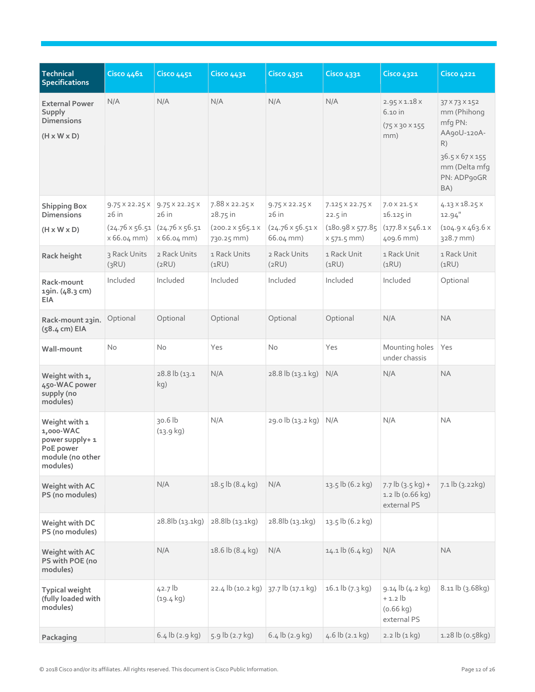| <b>Technical</b><br><b>Specifications</b>                                                  | Cisco 4461                            | <b>Cisco 4451</b>                                                                   | <b>Cisco 4431</b>                                                      | <b>Cisco 4351</b>                                                     | <b>Cisco 4331</b>                                        | <b>Cisco 4321</b>                                                          | <b>Cisco 4221</b>                                                                                                      |
|--------------------------------------------------------------------------------------------|---------------------------------------|-------------------------------------------------------------------------------------|------------------------------------------------------------------------|-----------------------------------------------------------------------|----------------------------------------------------------|----------------------------------------------------------------------------|------------------------------------------------------------------------------------------------------------------------|
| <b>External Power</b><br>Supply<br><b>Dimensions</b><br>$(H \times W \times D)$            | N/A                                   | N/A                                                                                 | N/A                                                                    | N/A                                                                   | N/A                                                      | $2.95 \times 1.18 \times$<br>6.10 in<br>$(75 \times 30 \times 155)$<br>mm) | 37 × 73 × 152<br>mm (Phihong<br>mfg PN:<br>AA90U-120A-<br>R)<br>36.5 x 67 x 155<br>mm (Delta mfg<br>PN: ADP90GR<br>BA) |
| <b>Shipping Box</b><br><b>Dimensions</b><br>$(H \times W \times D)$                        | $9.75 \times 22.25 \times$<br>$26$ in | $9.75 \times 22.25 \times$<br>26in<br>$(24.76 \times 56.51)$ $(24.76 \times 56.51)$ | $7.88 \times 22.25 \times$<br>28.75 in<br>$(200.2 \times 565.1 \times$ | $9.75 \times 22.25 \times$<br>$26$ in<br>$(24.76 \times 56.51 \times$ | 7.125 X 22.75 X<br>$22.5$ in<br>$(180.98 \times 577.85)$ | $7.0 \times 21.5 \times$<br>16.125 in<br>$(177.8 \times 546.1 \times$      | $4.13 \times 18.25 \times$<br>$12.94$ "<br>$(104.9 \times 463.6 \times$                                                |
|                                                                                            | $x 66.04$ mm)                         | $x 66.04$ mm)                                                                       | 730.25 mm)                                                             | 66.04 mm)                                                             | $x 571.5$ mm)                                            | 409.6 mm)                                                                  | 328.7 mm)                                                                                                              |
| Rack height                                                                                | 3 Rack Units<br>(3RU)                 | 2 Rack Units<br>(2RU)                                                               | 1 Rack Units<br>(1RU)                                                  | 2 Rack Units<br>(2RU)                                                 | 1 Rack Unit<br>(1RU)                                     | 1 Rack Unit<br>(1RU)                                                       | 1 Rack Unit<br>(1RU)                                                                                                   |
| Rack-mount<br>19in. (48.3 cm)<br><b>EIA</b>                                                | Included                              | Included                                                                            | Included                                                               | Included                                                              | Included                                                 | Included                                                                   | Optional                                                                                                               |
| Rack-mount 23in.<br>(58.4 cm) EIA                                                          | Optional                              | Optional                                                                            | Optional                                                               | Optional                                                              | Optional                                                 | N/A                                                                        | <b>NA</b>                                                                                                              |
| Wall-mount                                                                                 | <b>No</b>                             | No                                                                                  | Yes                                                                    | <b>No</b>                                                             | Yes                                                      | Mounting holes<br>under chassis                                            | Yes                                                                                                                    |
| Weight with 1,<br>450-WAC power<br>supply (no<br>modules)                                  |                                       | 28.8 lb (13.1<br>kg)                                                                | N/A                                                                    | 28.8 lb (13.1 kg)                                                     | N/A                                                      | N/A                                                                        | <b>NA</b>                                                                                                              |
| Weight with 1<br>1,000-WAC<br>power supply+ 1<br>PoE power<br>module (no other<br>modules) |                                       | $30.6$ lb<br>$(13.9 \text{ kg})$                                                    | N/A                                                                    | 29.0 lb (13.2 kg)                                                     | N/A                                                      | N/A                                                                        | <b>NA</b>                                                                                                              |
| Weight with AC<br>PS (no modules)                                                          |                                       | N/A                                                                                 | 18.5 lb (8.4 kg)                                                       | N/A                                                                   | 13.5 lb (6.2 kg)                                         | $7.7$ lb $(3.5$ kg) +<br>1.2 lb (0.66 kg)<br>external PS                   | 7.1 lb (3.22 kg)                                                                                                       |
| Weight with DC<br>PS (no modules)                                                          |                                       | 28.8lb (13.1kg)                                                                     | 28.8lb (13.1kg)                                                        | 28.8lb (13.1kg)                                                       | 13.5 lb (6.2 kg)                                         |                                                                            |                                                                                                                        |
| Weight with AC<br>PS with POE (no<br>modules)                                              |                                       | N/A                                                                                 | 18.6 lb (8.4 kg)                                                       | N/A                                                                   | $14.1$ lb $(6.4$ kg)                                     | N/A                                                                        | <b>NA</b>                                                                                                              |
| <b>Typical weight</b><br>(fully loaded with<br>modules)                                    |                                       | $42.7$ lb<br>$(19.4 \text{ kg})$                                                    | 22.4 lb (10.2 kg)                                                      | 37.7 lb (17.1 kg)                                                     | $16.1$ lb $(7.3$ kg)                                     | 9.14 lb (4.2 kg)<br>$+1.2$ lb<br>$(0.66 \text{ kg})$<br>external PS        | 8.11 lb (3.68kg)                                                                                                       |
| Packaging                                                                                  |                                       | $6.4$ lb (2.9 kg)                                                                   | 5.9 lb (2.7 kg)                                                        | $6.4$ lb (2.9 kg)                                                     | $4.6$ lb $(2.1$ kg)                                      | 2.2 lb (1 kg)                                                              | 1.28 lb (0.58kg)                                                                                                       |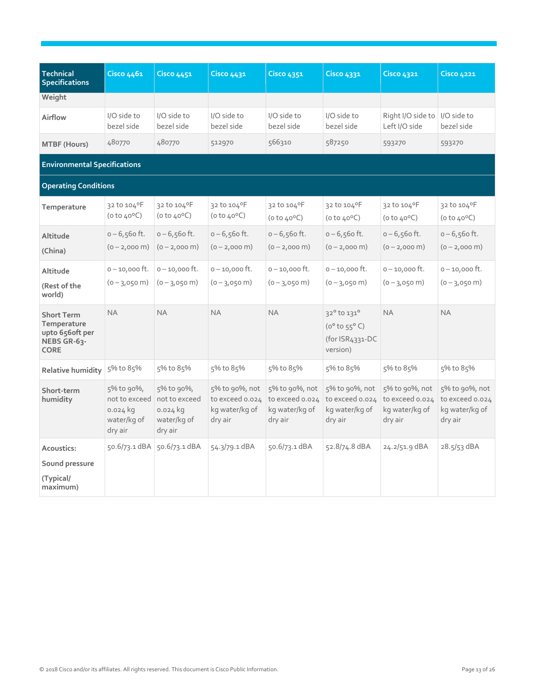| Technical<br><b>Specifications</b>                                                | Cisco 4461                                         | <b>Cisco 4451</b>                                                                 | <b>Cisco 4431</b>                                              | <b>Cisco 4351</b>                                              | Cisco 4331                                                                    | <b>Cisco 4321</b>                                              | <b>Cisco 4221</b>                                              |
|-----------------------------------------------------------------------------------|----------------------------------------------------|-----------------------------------------------------------------------------------|----------------------------------------------------------------|----------------------------------------------------------------|-------------------------------------------------------------------------------|----------------------------------------------------------------|----------------------------------------------------------------|
| Weight                                                                            |                                                    |                                                                                   |                                                                |                                                                |                                                                               |                                                                |                                                                |
| Airflow                                                                           | I/O side to<br>bezel side                          | I/O side to<br>bezel side                                                         | I/O side to<br>bezel side                                      | I/O side to<br>bezel side                                      | I/O side to<br>bezel side                                                     | Right I/O side to<br>Left I/O side                             | I/O side to<br>bezel side                                      |
| MTBF (Hours)                                                                      | 480770                                             | 480770                                                                            | 512970                                                         | 566310                                                         | 587250                                                                        | 593270                                                         | 593270                                                         |
| <b>Environmental Specifications</b>                                               |                                                    |                                                                                   |                                                                |                                                                |                                                                               |                                                                |                                                                |
| <b>Operating Conditions</b>                                                       |                                                    |                                                                                   |                                                                |                                                                |                                                                               |                                                                |                                                                |
| Temperature                                                                       | 32 to 104°F<br>(0 to 40°C)                         | 32 to 104°F<br>$(0 to 40^{\circ}C)$                                               | 32 to 104°F<br>$(0 to 40^{\circ}C)$                            | 32 to 104°F<br>$(0 to 40^{\circ}C)$                            | 32 to 104°F<br>( $0$ to $40^{\circ}$ C)                                       | 32 to 104°F<br>$(0 to 40^{\circ}C)$                            | 32 to 104°F<br>$(0 to 40^{\circ}C)$                            |
| Altitude<br>(China)                                                               | $0 - 6,560$ ft.<br>$(0 - 2,000 \text{ m})$         | $0 - 6,560$ ft.<br>$(0 - 2,000 \text{ m})$                                        | $0 - 6,560$ ft.<br>$(0 - 2,000 \text{ m})$                     | $0 - 6,560$ ft.<br>$(0 - 2,000 \text{ m})$                     | $0 - 6,560$ ft.<br>$(0 - 2,000 \text{ m})$                                    | $0 - 6,560$ ft.<br>$(0 - 2,000 \text{ m})$                     | $0 - 6,560$ ft.<br>$(0 - 2,000 \text{ m})$                     |
| Altitude<br>(Rest of the<br>world)                                                | $0 - 10,000$ ft.<br>$(0 - 3,050 \text{ m})$        | $0 - 10,000$ ft.<br>$(0 - 3,050 \text{ m})$                                       | $0 - 10,000$ ft.<br>$(0 - 3,050 \text{ m})$                    | $0 - 10,000$ ft.<br>$(0 - 3,050 \text{ m})$                    | $0 - 10,000$ ft.<br>$(0 - 3,050 \text{ m})$                                   | $0 - 10,000$ ft.<br>$(0 - 3,050 \text{ m})$                    | $0 - 10,000$ ft.<br>$(0 - 3,050 \text{ m})$                    |
| <b>Short Term</b><br>Temperature<br>upto 656oft per<br>NEBS GR-63-<br><b>CORE</b> | <b>NA</b>                                          | <b>NA</b>                                                                         | <b>NA</b>                                                      | <b>NA</b>                                                      | 32° to 131°<br>$(0^{\circ}$ to $55^{\circ}$ C)<br>(for ISR4331-DC<br>version) | <b>NA</b>                                                      | <b>NA</b>                                                      |
| <b>Relative humidity</b>                                                          | 5% to 85%                                          | 5% to 85%                                                                         | 5% to 85%                                                      | 5% to 85%                                                      | 5% to 85%                                                                     | 5% to 85%                                                      | 5% to 85%                                                      |
| Short-term<br>humidity                                                            | 5% to 90%,<br>$0.024$ kg<br>water/kg of<br>dry air | 5% to 90%,<br>not to exceed not to exceed<br>$0.024$ kg<br>water/kg of<br>dry air | 5% to 90%, not<br>to exceed 0.024<br>kg water/kg of<br>dry air | 5% to 90%, not<br>to exceed 0.024<br>kg water/kg of<br>dry air | 5% to 90%, not<br>to exceed 0.024<br>kg water/kg of<br>dry air                | 5% to 90%, not<br>to exceed 0.024<br>kg water/kg of<br>dry air | 5% to 90%, not<br>to exceed 0.024<br>kg water/kg of<br>dry air |
| Acoustics:<br>Sound pressure<br>(Typical/<br>maximum)                             | $50.6/73.1$ dBA                                    | 50.6/73.1 dBA                                                                     | 54.3/79.1 dBA                                                  | 50.6/73.1 dBA                                                  | 52.8/74.8 dBA                                                                 | $24.2/51.9$ dBA                                                | $28.5/53$ dBA                                                  |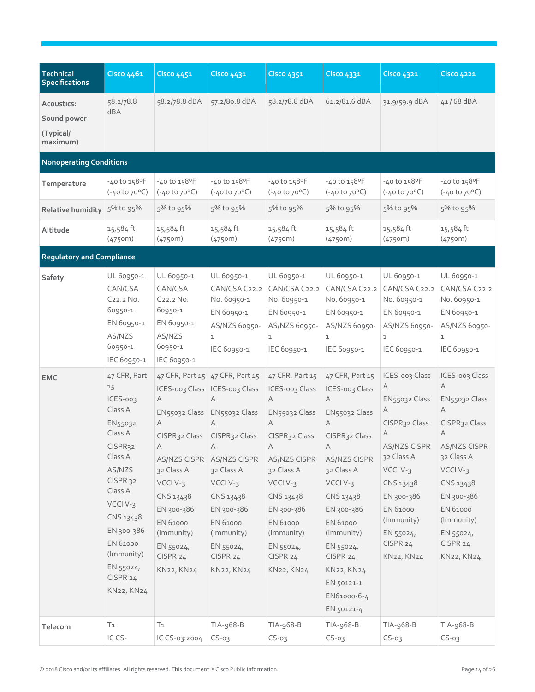| <b>Technical</b><br><b>Specifications</b>          | Cisco 4461                                                                                                                                                                                                                                   | <b>Cisco 4451</b>                                                                                                                                                                                                                           | <b>Cisco 4431</b>                                                                                                                                                                                            | <b>Cisco 4351</b>                                                                                                                                                                                                                    | Cisco 4331                                                                                                                                                                                                                                                                 | <b>Cisco 4321</b>                                                                                                                                                                                            | <b>Cisco 4221</b>                                                                                                                                                                                                        |
|----------------------------------------------------|----------------------------------------------------------------------------------------------------------------------------------------------------------------------------------------------------------------------------------------------|---------------------------------------------------------------------------------------------------------------------------------------------------------------------------------------------------------------------------------------------|--------------------------------------------------------------------------------------------------------------------------------------------------------------------------------------------------------------|--------------------------------------------------------------------------------------------------------------------------------------------------------------------------------------------------------------------------------------|----------------------------------------------------------------------------------------------------------------------------------------------------------------------------------------------------------------------------------------------------------------------------|--------------------------------------------------------------------------------------------------------------------------------------------------------------------------------------------------------------|--------------------------------------------------------------------------------------------------------------------------------------------------------------------------------------------------------------------------|
| Acoustics:<br>Sound power<br>(Typical/<br>maximum) | 58.2/78.8<br>dBA                                                                                                                                                                                                                             | 58.2/78.8 dBA                                                                                                                                                                                                                               | 57.2/80.8 dBA                                                                                                                                                                                                | 58.2/78.8 dBA                                                                                                                                                                                                                        | 61.2/81.6 dBA                                                                                                                                                                                                                                                              | 31.9/59.9 dBA                                                                                                                                                                                                | 41/68 dBA                                                                                                                                                                                                                |
| <b>Nonoperating Conditions</b>                     |                                                                                                                                                                                                                                              |                                                                                                                                                                                                                                             |                                                                                                                                                                                                              |                                                                                                                                                                                                                                      |                                                                                                                                                                                                                                                                            |                                                                                                                                                                                                              |                                                                                                                                                                                                                          |
| Temperature                                        | -40 to 158°F<br>$(-40 to 70°C)$                                                                                                                                                                                                              | $-40$ to $158$ <sup>o</sup> F<br>$(-40 \text{ to } 70^{\circ}\text{C})$                                                                                                                                                                     | -40 to 158°F<br>$(-40 to 70°C)$                                                                                                                                                                              | -40 to 158°F<br>$(-40 to 70°C)$                                                                                                                                                                                                      | -40 to 158°F<br>$(-40 to 70°C)$                                                                                                                                                                                                                                            | -40 to 158°F<br>$(-40 to 70°C)$                                                                                                                                                                              | -40 to 158°F<br>$(-40 to 70°C)$                                                                                                                                                                                          |
| Relative humidity                                  | 5% to 95%                                                                                                                                                                                                                                    | 5% to 95%                                                                                                                                                                                                                                   | 5% to 95%                                                                                                                                                                                                    | 5% to 95%                                                                                                                                                                                                                            | 5% to 95%                                                                                                                                                                                                                                                                  | 5% to 95%                                                                                                                                                                                                    | 5% to 95%                                                                                                                                                                                                                |
| Altitude                                           | 15,584ft<br>(4750m)                                                                                                                                                                                                                          | 15,584ft<br>(4750m)                                                                                                                                                                                                                         | 15,584ft<br>(4750m)                                                                                                                                                                                          | 15,584ft<br>(4750m)                                                                                                                                                                                                                  | 15,584ft<br>(4750m)                                                                                                                                                                                                                                                        | 15,584ft<br>(4750m)                                                                                                                                                                                          | 15,584ft<br>(4750m)                                                                                                                                                                                                      |
| <b>Regulatory and Compliance</b>                   |                                                                                                                                                                                                                                              |                                                                                                                                                                                                                                             |                                                                                                                                                                                                              |                                                                                                                                                                                                                                      |                                                                                                                                                                                                                                                                            |                                                                                                                                                                                                              |                                                                                                                                                                                                                          |
| Safety                                             | UL 60950-1<br>CAN/CSA<br>C <sub>22.2</sub> No.<br>60950-1<br>EN 60950-1<br>AS/NZS<br>60950-1<br>IEC 60950-1                                                                                                                                  | UL 60950-1<br>CAN/CSA<br>C <sub>22.2</sub> No.<br>60950-1<br>EN 60950-1<br>AS/NZS<br>60950-1<br>IEC 60950-1                                                                                                                                 | UL 60950-1<br>CAN/CSA C22.2<br>No. 60950-1<br>EN 60950-1<br>AS/NZS 60950-<br>$\mathbf{1}$<br>IEC 60950-1                                                                                                     | UL 60950-1<br>CAN/CSA C22.2<br>No. 60950-1<br>EN 60950-1<br>AS/NZS 60950-<br>$\mathbf{1}$<br>IEC 60950-1                                                                                                                             | UL 60950-1<br>CAN/CSA C22.2<br>No. 60950-1<br>EN 60950-1<br>AS/NZS 60950-<br>$\mathbf{1}$<br>IEC 60950-1                                                                                                                                                                   | UL 60950-1<br>CAN/CSA C22.2<br>No. 60950-1<br>EN 60950-1<br>AS/NZS 60950-<br>1<br>IEC 60950-1                                                                                                                | UL 60950-1<br>CAN/CSA C22.2<br>No. 60950-1<br>EN 60950-1<br>AS/NZS 60950-<br>1<br>IEC 60950-1                                                                                                                            |
| <b>EMC</b>                                         | 47 CFR, Part<br>15<br>ICES-003<br>Class A<br>EN55032<br>Class A<br>CISPR <sub>32</sub><br>Class A<br>AS/NZS<br>CISPR 32<br>Class A<br>VCCI V-3<br>CNS 13438<br>EN 300-386<br>EN 61000<br>(Immunity)<br>$EN$ 55024,<br>CISPR 24<br>KN22, KN24 | ICES-003 Class   ICES-003 Class<br>Α<br>EN55032 Class EN55032 Class<br>A<br>CISPR32 Class<br>Α<br><b>AS/NZS CISPR</b><br>32 Class A<br>VCCI V-3<br>CNS 13438<br>EN 300-386<br>EN 61000<br>(Immunity)<br>EN 55024,<br>CISPR 24<br>KN22, KN24 | 47 CFR, Part 15 47 CFR, Part 15<br>A<br>A<br>CISPR32 Class<br>A<br><b>AS/NZS CISPR</b><br>32 Class A<br>VCCI V-3<br>CNS 13438<br>EN 300-386<br>EN 61000<br>(Immunity)<br>EN 55024,<br>CISPR 24<br>KN22, KN24 | 47 CFR, Part 15<br>ICES-003 Class<br>A<br>EN55032 Class<br>Α<br>CISPR <sub>32</sub> Class<br>Α<br>AS/NZS CISPR<br>32 Class A<br>VCCI V-3<br>CNS 13438<br>EN 300-386<br>EN 61000<br>(Immunity)<br>EN 55024,<br>CISPR 24<br>KN22, KN24 | 47 CFR, Part 15<br>ICES-003 Class<br>A<br>EN55032 Class<br>Α<br>CISPR32 Class<br>A<br><b>AS/NZS CISPR</b><br>32 Class A<br>VCCI V-3<br>CNS 13438<br>EN 300-386<br>EN 61000<br>(Immunity)<br>EN 55024,<br>CISPR 24<br>KN22, KN24<br>EN 50121-1<br>EN61000-6-4<br>EN 50121-4 | ICES-003 Class<br>Α<br>EN55032 Class<br>Α<br>CISPR32 Class<br>Α<br><b>AS/NZS CISPR</b><br>32 Class A<br>VCCI V-3<br>CNS 13438<br>EN 300-386<br>EN 61000<br>(Immunity)<br>EN 55024,<br>CISPR 24<br>KN22, KN24 | ICES-003 Class<br>A<br>EN55032 Class<br>Α<br>CISPR <sub>32</sub> Class<br>Α<br><b>AS/NZS CISPR</b><br>32 Class A<br>VCCI V-3<br>CNS 13438<br>EN 300-386<br>EN 61000<br>(Immunity)<br>EN 55024,<br>CISPR 24<br>KN22, KN24 |
| Telecom                                            | T <sub>1</sub><br>IC CS-                                                                                                                                                                                                                     | T <sub>1</sub><br>IC CS-03:2004                                                                                                                                                                                                             | TIA-968-B<br>$CS-03$                                                                                                                                                                                         | TIA-968-B<br>$CS-03$                                                                                                                                                                                                                 | TIA-968-B<br>$CS-03$                                                                                                                                                                                                                                                       | TIA-968-B<br>$CS-03$                                                                                                                                                                                         | TIA-968-B<br>$CS-03$                                                                                                                                                                                                     |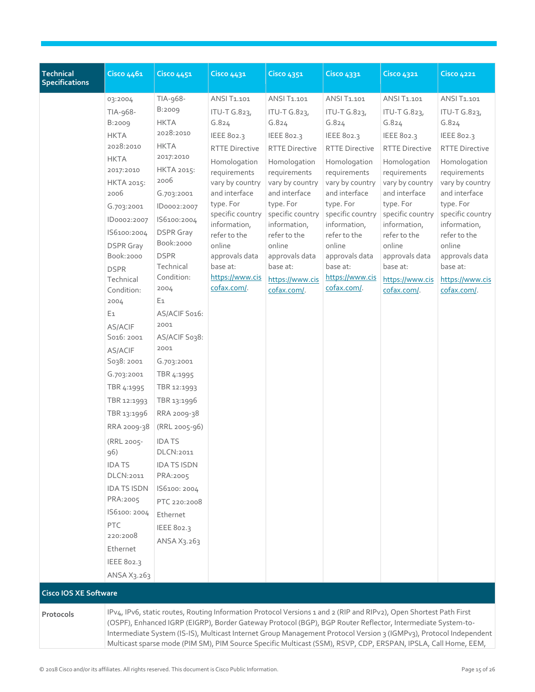| <b>Technical</b><br><b>Specifications</b> | Cisco 4461                                                                                                                                                                                                                                                                                                                                                                                                                                                                                                                                                     | <b>Cisco 4451</b>                                                                                                                                                                                                                                                                                                                                                                                                                                                                                                                | <b>Cisco 4431</b>                                                                                                                                                                                                                                                                          | <b>Cisco 4351</b>                                                                                                                                                                                                                                                                          | <b>Cisco 4331</b>                                                                                                                                                                                                                                                                          | <b>Cisco 4321</b>                                                                                                                                                                                                                                                                          | <b>Cisco 4221</b>                                                                                                                                                                                                                                                                          |
|-------------------------------------------|----------------------------------------------------------------------------------------------------------------------------------------------------------------------------------------------------------------------------------------------------------------------------------------------------------------------------------------------------------------------------------------------------------------------------------------------------------------------------------------------------------------------------------------------------------------|----------------------------------------------------------------------------------------------------------------------------------------------------------------------------------------------------------------------------------------------------------------------------------------------------------------------------------------------------------------------------------------------------------------------------------------------------------------------------------------------------------------------------------|--------------------------------------------------------------------------------------------------------------------------------------------------------------------------------------------------------------------------------------------------------------------------------------------|--------------------------------------------------------------------------------------------------------------------------------------------------------------------------------------------------------------------------------------------------------------------------------------------|--------------------------------------------------------------------------------------------------------------------------------------------------------------------------------------------------------------------------------------------------------------------------------------------|--------------------------------------------------------------------------------------------------------------------------------------------------------------------------------------------------------------------------------------------------------------------------------------------|--------------------------------------------------------------------------------------------------------------------------------------------------------------------------------------------------------------------------------------------------------------------------------------------|
|                                           | 03:2004<br>TIA-968-<br><b>B:2009</b><br><b>HKTA</b><br>2028:2010<br><b>HKTA</b><br>2017:2010<br>HKTA 2015:<br>2006<br>G.703:2001<br>ID0002:2007<br>IS6100:2004<br><b>DSPR</b> Gray<br>Book:2000<br><b>DSPR</b><br>Technical<br>Condition:<br>2004<br>E <sub>1</sub><br>AS/ACIF<br>S016: 2001<br>AS/ACIF<br>S038: 2001<br>G.703:2001<br>TBR 4:1995<br>TBR 12:1993<br>TBR 13:1996<br>RRA 2009-38<br>(RRL 2005-<br>96)<br><b>IDATS</b><br>DLCN:2011<br><b>IDA TS ISDN</b><br>PRA:2005<br>IS6100: 2004<br>PTC<br>220:2008<br>Ethernet<br>IEEE 802.3<br>ANSA X3.263 | TIA-968-<br>B:2009<br><b>HKTA</b><br>2028:2010<br><b>HKTA</b><br>2017:2010<br>HKTA 2015:<br>2006<br>G.703:2001<br>ID0002:2007<br>IS6100:2004<br><b>DSPR</b> Gray<br>Book:2000<br><b>DSPR</b><br>Technical<br>Condition:<br>2004<br>E1<br>AS/ACIF S016:<br>2001<br>AS/ACIF S038:<br>2001<br>G.703:2001<br>TBR 4:1995<br>TBR 12:1993<br>TBR 13:1996<br>RRA 2009-38<br>(RRL 2005-96)<br><b>IDATS</b><br>DLCN:2011<br><b>IDA TS ISDN</b><br>PRA:2005<br>IS6100: 2004<br>PTC 220:2008<br>Ethernet<br><b>IEEE 802.3</b><br>ANSA X3.263 | ANSI T1.101<br>ITU-T G.823,<br>G.824<br>IEEE 802.3<br><b>RTTE Directive</b><br>Homologation<br>requirements<br>vary by country<br>and interface<br>type. For<br>specific country<br>information,<br>refer to the<br>online<br>approvals data<br>base at:<br>https://www.cis<br>cofax.com/. | ANSI T1.101<br>ITU-T G.823,<br>G.824<br>IEEE 802.3<br><b>RTTE Directive</b><br>Homologation<br>requirements<br>vary by country<br>and interface<br>type. For<br>specific country<br>information,<br>refer to the<br>online<br>approvals data<br>base at:<br>https://www.cis<br>cofax.com/. | ANSI T1.101<br>ITU-T G.823,<br>G.824<br>IEEE 802.3<br><b>RTTE Directive</b><br>Homologation<br>requirements<br>vary by country<br>and interface<br>type. For<br>specific country<br>information,<br>refer to the<br>online<br>approvals data<br>base at:<br>https://www.cis<br>cofax.com/. | ANSI T1.101<br>ITU-T G.823,<br>G.824<br>IEEE 802.3<br><b>RTTE Directive</b><br>Homologation<br>requirements<br>vary by country<br>and interface<br>type. For<br>specific country<br>information,<br>refer to the<br>online<br>approvals data<br>base at:<br>https://www.cis<br>cofax.com/. | ANSI T1.101<br>ITU-T G.823,<br>G.824<br>IEEE 802.3<br><b>RTTE Directive</b><br>Homologation<br>requirements<br>vary by country<br>and interface<br>type. For<br>specific country<br>information,<br>refer to the<br>online<br>approvals data<br>base at:<br>https://www.cis<br>cofax.com/. |
| <b>Cisco IOS XE Software</b>              |                                                                                                                                                                                                                                                                                                                                                                                                                                                                                                                                                                |                                                                                                                                                                                                                                                                                                                                                                                                                                                                                                                                  |                                                                                                                                                                                                                                                                                            |                                                                                                                                                                                                                                                                                            |                                                                                                                                                                                                                                                                                            |                                                                                                                                                                                                                                                                                            |                                                                                                                                                                                                                                                                                            |
| Protocols                                 |                                                                                                                                                                                                                                                                                                                                                                                                                                                                                                                                                                | IPv4, IPv6, static routes, Routing Information Protocol Versions 1 and 2 (RIP and RIPv2), Open Shortest Path First<br>(OSPF), Enhanced IGRP (EIGRP), Border Gateway Protocol (BGP), BGP Router Reflector, Intermediate System-to-<br>Intermediate System (IS-IS), Multicast Internet Group Management Protocol Version 3 (IGMPv3), Protocol Independent<br>Multicast sparse mode (PIM SM), PIM Source Specific Multicast (SSM), RSVP, CDP, ERSPAN, IPSLA, Call Home, EEM,                                                        |                                                                                                                                                                                                                                                                                            |                                                                                                                                                                                                                                                                                            |                                                                                                                                                                                                                                                                                            |                                                                                                                                                                                                                                                                                            |                                                                                                                                                                                                                                                                                            |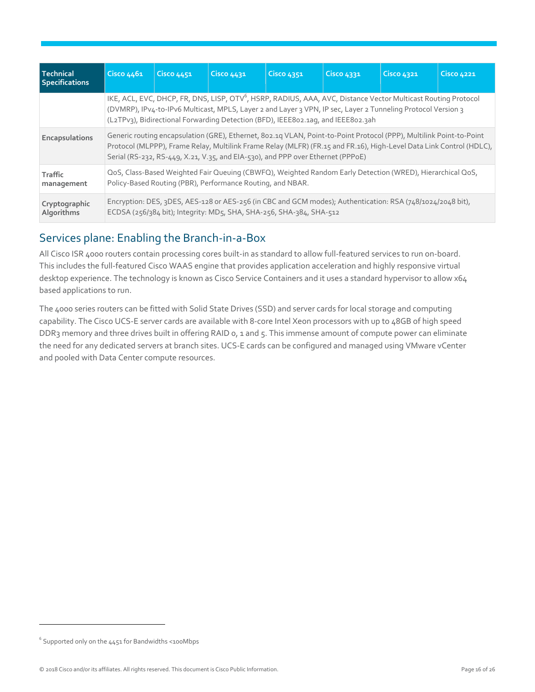| Technical<br><b>Specifications</b> | Cisco 4461                                                                                                                                                                                                                                                                                                                    | <b>Cisco 4451</b>                                                                                                                                                                                                                                                                                                             | Cisco 4431 | Cisco 4351                                                                                                                                                                        | Cisco 4331 | <b>Cisco 4321</b> | <b>Cisco 4221</b> |  |
|------------------------------------|-------------------------------------------------------------------------------------------------------------------------------------------------------------------------------------------------------------------------------------------------------------------------------------------------------------------------------|-------------------------------------------------------------------------------------------------------------------------------------------------------------------------------------------------------------------------------------------------------------------------------------------------------------------------------|------------|-----------------------------------------------------------------------------------------------------------------------------------------------------------------------------------|------------|-------------------|-------------------|--|
|                                    |                                                                                                                                                                                                                                                                                                                               | IKE, ACL, EVC, DHCP, FR, DNS, LISP, OTV <sup>6</sup> , HSRP, RADIUS, AAA, AVC, Distance Vector Multicast Routing Protocol<br>(DVMRP), IPv4-to-IPv6 Multicast, MPLS, Layer 2 and Layer 3 VPN, IP sec, Layer 2 Tunneling Protocol Version 3<br>(L2TPv3), Bidirectional Forwarding Detection (BFD), IEEE802.1ag, and IEEE802.3ah |            |                                                                                                                                                                                   |            |                   |                   |  |
| Encapsulations                     | Generic routing encapsulation (GRE), Ethernet, 8o2.1q VLAN, Point-to-Point Protocol (PPP), Multilink Point-to-Point<br>Protocol (MLPPP), Frame Relay, Multilink Frame Relay (MLFR) (FR.15 and FR.16), High-Level Data Link Control (HDLC),<br>Serial (RS-232, RS-449, X.21, V.35, and EIA-530), and PPP over Ethernet (PPPoE) |                                                                                                                                                                                                                                                                                                                               |            |                                                                                                                                                                                   |            |                   |                   |  |
| Traffic<br>management              | QoS, Class-Based Weighted Fair Queuing (CBWFQ), Weighted Random Early Detection (WRED), Hierarchical QoS,<br>Policy-Based Routing (PBR), Performance Routing, and NBAR.                                                                                                                                                       |                                                                                                                                                                                                                                                                                                                               |            |                                                                                                                                                                                   |            |                   |                   |  |
| Cryptographic<br>Algorithms        |                                                                                                                                                                                                                                                                                                                               |                                                                                                                                                                                                                                                                                                                               |            | Encryption: DES, 3DES, AES-128 or AES-256 (in CBC and GCM modes); Authentication: RSA (748/1024/2048 bit),<br>ECDSA (256/384 bit); Integrity: MD5, SHA, SHA-256, SHA-384, SHA-512 |            |                   |                   |  |

## Services plane: Enabling the Branch-in-a-Box

All Cisco ISR 4000 routers contain processing cores built-in as standard to allow full-featured services to run on-board. This includes the full-featured Cisco WAAS engine that provides application acceleration and highly responsive virtual desktop experience. The technology is known as Cisco Service Containers and it uses a standard hypervisor to allow x64 based applications to run.

The 4000 series routers can be fitted with Solid State Drives (SSD) and server cards for local storage and computing capability. The Cisco UCS-E server cards are available with 8-core Intel Xeon processors with up to 48GB of high speed DDR3 memory and three drives built in offering RAID 0, 1 and 5. This immense amount of compute power can eliminate the need for any dedicated servers at branch sites. UCS-E cards can be configured and managed using VMware vCenter and pooled with Data Center compute resources.

 $^6$  Supported only on the 4451 for Bandwidths <100Mbps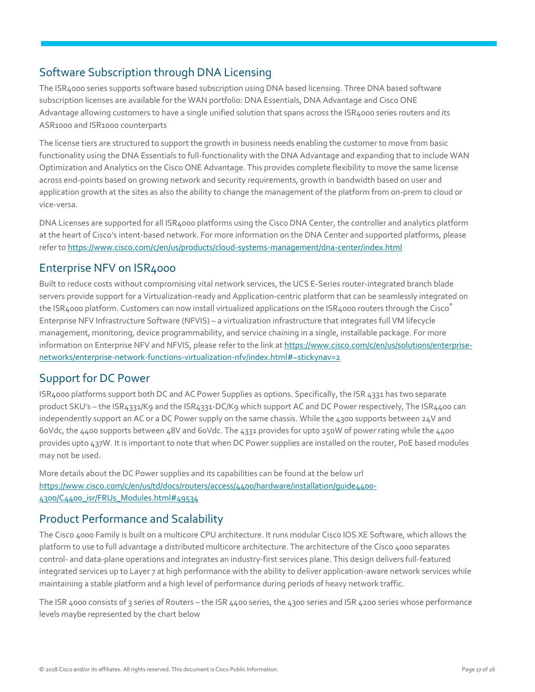## Software Subscription through DNA Licensing

The ISR4000 series supports software based subscription using DNA based licensing. Three DNA based software subscription licenses are available for the WAN portfolio: DNA Essentials, DNA Advantage and Cisco ONE Advantage allowing customers to have a single unified solution that spans across the ISR4000 series routers and its ASR1000 and ISR1000 counterparts

The license tiers are structured to support the growth in business needs enabling the customer to move from basic functionality using the DNA Essentials to full-functionality with the DNA Advantage and expanding that to include WAN Optimization and Analytics on the Cisco ONE Advantage. This provides complete flexibility to move the same license across end-points based on growing network and security requirements, growth in bandwidth based on user and application growth at the sites as also the ability to change the management of the platform from on-prem to cloud or vice-versa.

DNA Licenses are supported for all ISR4000 platforms using the Cisco DNA Center, the controller and analytics platform at the heart of Cisco's intent-based network. For more information on the DNA Center and supported platforms, please refer t[o https://www.cisco.com/c/en/us/products/cloud-systems-management/dna-center/index.html](https://www.cisco.com/c/en/us/products/cloud-systems-management/dna-center/index.html)

## Enterprise NFV on ISR4000

Built to reduce costs without compromising vital network services, the UCS E-Series router-integrated branch blade servers provide support for a Virtualization-ready and Application-centric platform that can be seamlessly integrated on the ISR4000 platform. Customers can now install virtualized applications on the ISR4000 routers through the Cisco Enterprise NFV Infrastructure Software (NFVIS) – a virtualization infrastructure that integrates full VM lifecycle management, monitoring, device programmability, and service chaining in a single, installable package. For more information on Enterprise NFV and NFVIS, please refer to the link a[t https://www.cisco.com/c/en/us/solutions/enterprise](https://www.cisco.com/c/en/us/solutions/enterprise-networks/enterprise-network-functions-virtualization-nfv/index.html#~stickynav=2)[networks/enterprise-network-functions-virtualization-nfv/index.html#~stickynav=2](https://www.cisco.com/c/en/us/solutions/enterprise-networks/enterprise-network-functions-virtualization-nfv/index.html#~stickynav=2)

## Support for DC Power

ISR4000 platforms support both DC and AC Power Supplies as options. Specifically, the ISR 4331 has two separate product SKU's – the ISR4331/K9 and the ISR4331-DC/K9 which support AC and DC Power respectively, The ISR4400 can independently support an AC or a DC Power supply on the same chassis. While the 4300 supports between 24V and 60Vdc, the 4400 supports between 48V and 60Vdc. The 4331 provides for upto 250W of power rating while the 4400 provides upto 437W. It is important to note that when DC Power supplies are installed on the router, PoE based modules may not be used.

More details about the DC Power supplies and its capabilities can be found at the below url [https://www.cisco.com/c/en/us/td/docs/routers/access/4400/hardware/installation/guide4400-](https://www.cisco.com/c/en/us/td/docs/routers/access/4400/hardware/installation/guide4400-4300/C4400_isr/FRUs_Modules.html#49534) [4300/C4400\\_isr/FRUs\\_Modules.html#49534](https://www.cisco.com/c/en/us/td/docs/routers/access/4400/hardware/installation/guide4400-4300/C4400_isr/FRUs_Modules.html#49534)

## Product Performance and Scalability

The Cisco 4000 Family is built on a multicore CPU architecture. It runs modular Cisco IOS XE Software, which allows the platform to use to full advantage a distributed multicore architecture. The architecture of the Cisco 4000 separates control- and data-plane operations and integrates an industry-first services plane. This design delivers full-featured integrated services up to Layer 7 at high performance with the ability to deliver application-aware network services while maintaining a stable platform and a high level of performance during periods of heavy network traffic.

The ISR 4000 consists of 3 series of Routers – the ISR 4400 series, the 4300 series and ISR 4200 series whose performance levels maybe represented by the chart below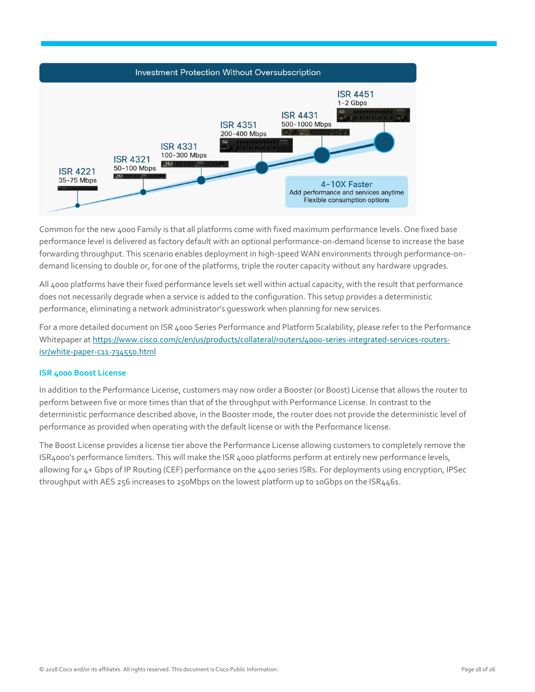

Common for the new 4000 Family is that all platforms come with fixed maximum performance levels. One fixed base performance level is delivered as factory default with an optional performance-on-demand license to increase the base forwarding throughput. This scenario enables deployment in high-speed WAN environments through performance-ondemand licensing to double or, for one of the platforms, triple the router capacity without any hardware upgrades.

All 4000 platforms have their fixed performance levels set well within actual capacity, with the result that performance does not necessarily degrade when a service is added to the configuration. This setup provides a deterministic performance, eliminating a network administrator's guesswork when planning for new services.

For a more detailed document on ISR 4000 Series Performance and Platform Scalability, please refer to the Performance Whitepaper a[t https://www.cisco.com/c/en/us/products/collateral/routers/4000-series-integrated-services-routers](https://www.cisco.com/c/en/us/products/collateral/routers/4000-series-integrated-services-routers-isr/white-paper-c11-734550.html)[isr/white-paper-c11-734550.html](https://www.cisco.com/c/en/us/products/collateral/routers/4000-series-integrated-services-routers-isr/white-paper-c11-734550.html)

#### **ISR 4000 Boost License**

In addition to the Performance License, customers may now order a Booster (or Boost) License that allows the router to perform between five or more times than that of the throughput with Performance License. In contrast to the deterministic performance described above, in the Booster mode, the router does not provide the deterministic level of performance as provided when operating with the default license or with the Performance license.

The Boost License provides a license tier above the Performance License allowing customers to completely remove the ISR4000's performance limiters. This will make the ISR 4000 platforms perform at entirely new performance levels, allowing for 4+ Gbps of IP Routing (CEF) performance on the 4400 series ISRs. For deployments using encryption, IPSec throughput with AES 256 increases to 250Mbps on the lowest platform up to 10Gbps on the ISR4461.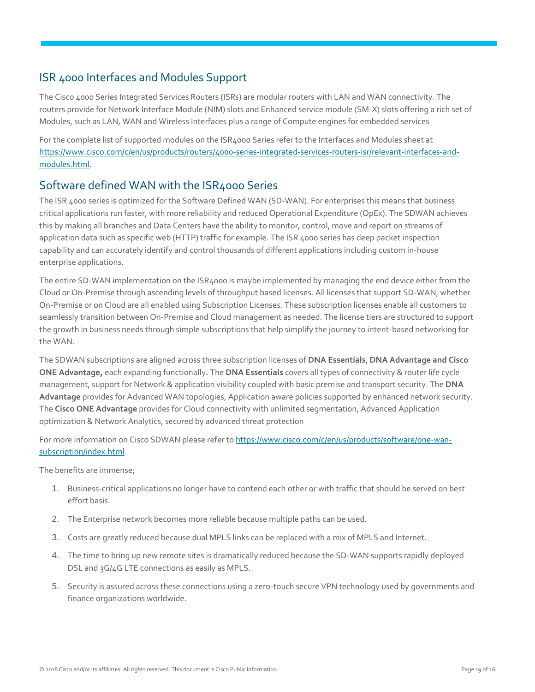## <span id="page-18-0"></span>ISR 4000 Interfaces and Modules Support

The Cisco 4000 Series Integrated Services Routers (ISRs) are modular routers with LAN and WAN connectivity. The routers provide for Network Interface Module (NIM) slots and Enhanced service module (SM-X) slots offering a rich set of Modules, such as LAN, WAN and Wireless Interfaces plus a range of Compute engines for embedded services

For the complete list of supported modules on the ISR4000 Series refer to the Interfaces and Modules sheet at [https://www.cisco.com/c/en/us/products/routers/4000-series-integrated-services-routers-isr/relevant-interfaces-and](https://www.cisco.com/c/en/us/products/routers/4000-series-integrated-services-routers-isr/relevant-interfaces-and-modules.html)[modules.html.](https://www.cisco.com/c/en/us/products/routers/4000-series-integrated-services-routers-isr/relevant-interfaces-and-modules.html)

## Software defined WAN with the ISR4000 Series

The ISR 4000 series is optimized for the Software Defined WAN (SD-WAN). For enterprises this means that business critical applications run faster, with more reliability and reduced Operational Expenditure (OpEx). The SDWAN achieves this by making all branches and Data Centers have the ability to monitor, control, move and report on streams of application data such as specific web (HTTP) traffic for example. The ISR 4000 series has deep packet inspection capability and can accurately identify and control thousands of different applications including custom in-house enterprise applications.

The entire SD-WAN implementation on the ISR4000 is maybe implemented by managing the end device either from the Cloud or On-Premise through ascending levels of throughput based licenses. All licenses that support SD-WAN, whether On-Premise or on Cloud are all enabled using Subscription Licenses. These subscription licenses enable all customers to seamlessly transition between On-Premise and Cloud management as needed. The license tiers are structured to support the growth in business needs through simple subscriptions that help simplify the journey to intent-based networking for the WAN.

The SDWAN subscriptions are aligned across three subscription licenses of **DNA Essentials**, **DNA Advantage and Cisco ONE Advantage,** each expanding functionally**.** The **DNA Essentials** covers all types of connectivity & router life cycle management, support for Network & application visibility coupled with basic premise and transport security. The **DNA Advantage** provides for Advanced WAN topologies, Application aware policies supported by enhanced network security. The **Cisco ONE Advantage** provides for Cloud connectivity with unlimited segmentation, Advanced Application optimization & Network Analytics, secured by advanced threat protection

For more information on Cisco SDWAN please refer to [https://www.cisco.com/c/en/us/products/software/one-wan](https://www.cisco.com/c/en/us/products/software/one-wan-subscription/index.html)[subscription/index.html](https://www.cisco.com/c/en/us/products/software/one-wan-subscription/index.html)

The benefits are immense;

- 1. Business-critical applications no longer have to contend each other or with traffic that should be served on best effort basis.
- 2. The Enterprise network becomes more reliable because multiple paths can be used.
- 3. Costs are greatly reduced because dual MPLS links can be replaced with a mix of MPLS and Internet.
- 4. The time to bring up new remote sites is dramatically reduced because the SD-WAN supports rapidly deployed DSL and 3G/4G LTE connections as easily as MPLS.
- 5. Security is assured across these connections using a zero-touch secure VPN technology used by governments and finance organizations worldwide.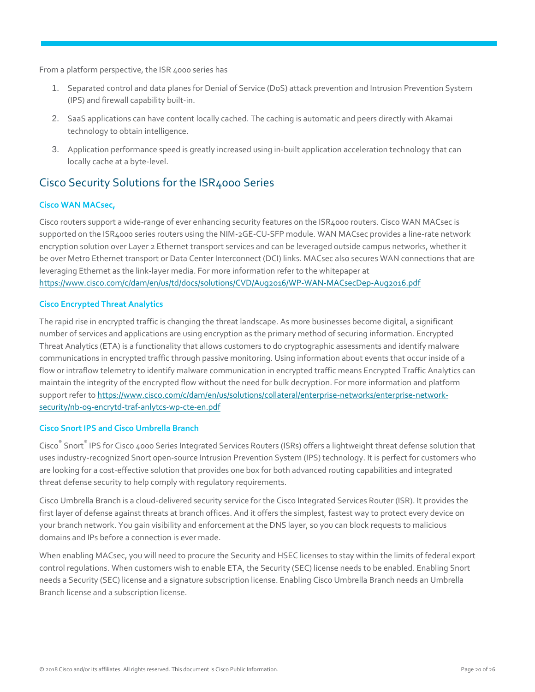From a platform perspective, the ISR 4000 series has

- 1. Separated control and data planes for Denial of Service (DoS) attack prevention and Intrusion Prevention System (IPS) and firewall capability built-in.
- 2. SaaS applications can have content locally cached. The caching is automatic and peers directly with Akamai technology to obtain intelligence.
- 3. Application performance speed is greatly increased using in-built application acceleration technology that can locally cache at a byte-level.

## Cisco Security Solutions for the ISR4000 Series

#### **Cisco WAN MACsec,**

Cisco routers support a wide-range of ever enhancing security features on the ISR4000 routers. Cisco WAN MACsec is supported on the ISR4000 series routers using the NIM-2GE-CU-SFP module. WAN MACsec provides a line-rate network encryption solution over Layer 2 Ethernet transport services and can be leveraged outside campus networks, whether it be over Metro Ethernet transport or Data Center Interconnect (DCI) links. MACsec also secures WAN connections that are leveraging Ethernet as the link-layer media. For more information refer to the whitepaper at <https://www.cisco.com/c/dam/en/us/td/docs/solutions/CVD/Aug2016/WP-WAN-MACsecDep-Aug2016.pdf>

#### **Cisco Encrypted Threat Analytics**

The rapid rise in encrypted traffic is changing the threat landscape. As more businesses become digital, a significant number of services and applications are using encryption as the primary method of securing information. Encrypted Threat Analytics (ETA) is a functionality that allows customers to do cryptographic assessments and identify malware communications in encrypted traffic through passive monitoring. Using information about events that occur inside of a flow or intraflow telemetry to identify malware communication in encrypted traffic means Encrypted Traffic Analytics can maintain the integrity of the encrypted flow without the need for bulk decryption. For more information and platform support refer t[o https://www.cisco.com/c/dam/en/us/solutions/collateral/enterprise-networks/enterprise-network](https://www.cisco.com/c/dam/en/us/solutions/collateral/enterprise-networks/enterprise-network-security/nb-09-encrytd-traf-anlytcs-wp-cte-en.pdf)[security/nb-09-encrytd-traf-anlytcs-wp-cte-en.pdf](https://www.cisco.com/c/dam/en/us/solutions/collateral/enterprise-networks/enterprise-network-security/nb-09-encrytd-traf-anlytcs-wp-cte-en.pdf)

#### **Cisco Snort IPS and Cisco Umbrella Branch**

Cisco® Snort® IPS for Cisco 4000 Series Integrated Services Routers (ISRs) offers a lightweight threat defense solution that uses industry-recognized Snort open-source Intrusion Prevention System (IPS) technology. It is perfect for customers who are looking for a cost-effective solution that provides one box for both advanced routing capabilities and integrated threat defense security to help comply with regulatory requirements.

Cisco Umbrella Branch is a cloud-delivered security service for the Cisco Integrated Services Router (ISR). It provides the first layer of defense against threats at branch offices. And it offers the simplest, fastest way to protect every device on your branch network. You gain visibility and enforcement at the DNS layer, so you can block requests to malicious domains and IPs before a connection is ever made.

When enabling MACsec, you will need to procure the Security and HSEC licenses to stay within the limits of federal export control regulations. When customers wish to enable ETA, the Security (SEC) license needs to be enabled. Enabling Snort needs a Security (SEC) license and a signature subscription license. Enabling Cisco Umbrella Branch needs an Umbrella Branch license and a subscription license.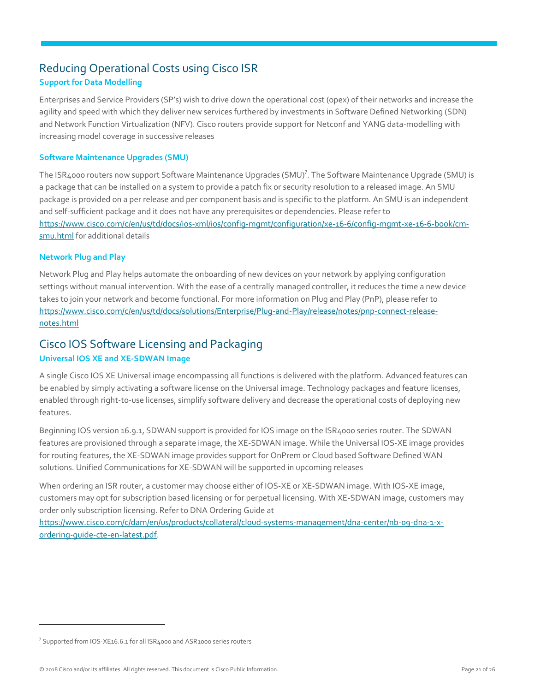## Reducing Operational Costs using Cisco ISR **Support for Data Modelling**

Enterprises and Service Providers (SP's) wish to drive down the operational cost (opex) of their networks and increase the agility and speed with which they deliver new services furthered by investments in Software Defined Networking (SDN) and Network Function Virtualization (NFV). Cisco routers provide support for Netconf and YANG data-modelling with increasing model coverage in successive releases

#### **Software Maintenance Upgrades (SMU)**

The ISR4000 routers now support Software Maintenance Upgrades (SMU)<sup>7</sup>. The Software Maintenance Upgrade (SMU) is a package that can be installed on a system to provide a patch fix or security resolution to a released image. An SMU package is provided on a per release and per component basis and is specific to the platform. An SMU is an independent and self-sufficient package and it does not have any prerequisites or dependencies. Please refer to [https://www.cisco.com/c/en/us/td/docs/ios-xml/ios/config-mgmt/configuration/xe-16-6/config-mgmt-xe-16-6-book/cm](https://www.cisco.com/c/en/us/td/docs/ios-xml/ios/config-mgmt/configuration/xe-16-6/config-mgmt-xe-16-6-book/cm-smu.html)[smu.html](https://www.cisco.com/c/en/us/td/docs/ios-xml/ios/config-mgmt/configuration/xe-16-6/config-mgmt-xe-16-6-book/cm-smu.html) for additional details

#### **Network Plug and Play**

Network Plug and Play helps automate the onboarding of new devices on your network by applying configuration settings without manual intervention. With the ease of a centrally managed controller, it reduces the time a new device takes to join your network and become functional. For more information on Plug and Play (PnP), please refer to [https://www.cisco.com/c/en/us/td/docs/solutions/Enterprise/Plug-and-Play/release/notes/pnp-connect-release](https://www.cisco.com/c/en/us/td/docs/solutions/Enterprise/Plug-and-Play/release/notes/pnp-connect-release-notes.html)[notes.html](https://www.cisco.com/c/en/us/td/docs/solutions/Enterprise/Plug-and-Play/release/notes/pnp-connect-release-notes.html)

## Cisco IOS Software Licensing and Packaging **Universal IOS XE and XE-SDWAN Image**

A single Cisco IOS XE Universal image encompassing all functions is delivered with the platform. Advanced features can be enabled by simply activating a software license on the Universal image. Technology packages and feature licenses, enabled through right-to-use licenses, simplify software delivery and decrease the operational costs of deploying new features.

Beginning IOS version 16.9.1, SDWAN support is provided for IOS image on the ISR4000 series router. The SDWAN features are provisioned through a separate image, the XE-SDWAN image. While the Universal IOS-XE image provides for routing features, the XE-SDWAN image provides support for OnPrem or Cloud based Software Defined WAN solutions. Unified Communications for XE-SDWAN will be supported in upcoming releases

When ordering an ISR router, a customer may choose either of IOS-XE or XE-SDWAN image. With IOS-XE image, customers may opt for subscription based licensing or for perpetual licensing. With XE-SDWAN image, customers may order only subscription licensing. Refer to DNA Ordering Guide at

[https://www.cisco.com/c/dam/en/us/products/collateral/cloud-systems-management/dna-center/nb-09-dna-1-x](https://www.cisco.com/c/dam/en/us/products/collateral/cloud-systems-management/dna-center/nb-09-dna-1-x-ordering-guide-cte-en-latest.pdf)[ordering-guide-cte-en-latest.pdf.](https://www.cisco.com/c/dam/en/us/products/collateral/cloud-systems-management/dna-center/nb-09-dna-1-x-ordering-guide-cte-en-latest.pdf)

 $^7$  Supported from IOS-XE16.6.1 for all ISR4000 and ASR1000 series routers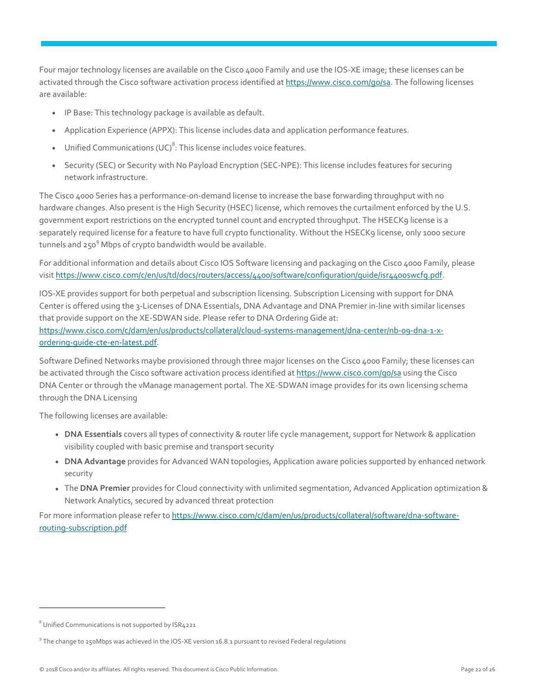Four major technology licenses are available on the Cisco 4000 Family and use the IOS-XE image; these licenses can be activated through the Cisco software activation process identified a[t https://www.cisco.com/go/sa.](https://www.cisco.com/go/sa) The following licenses are available:

- IP Base: This technology package is available as default.
- Application Experience (APPX): This license includes data and application performance features.
- Unified Communications (UC)<sup>8</sup>: This license includes voice features.
- Security (SEC) or Security with No Payload Encryption (SEC-NPE): This license includes features for securing network infrastructure.

The Cisco 4000 Series has a performance-on-demand license to increase the base forwarding throughput with no hardware changes. Also present is the High Security (HSEC) license, which removes the curtailment enforced by the U.S. government export restrictions on the encrypted tunnel count and encrypted throughput. The HSECK9 license is a separately required license for a feature to have full crypto functionality. Without the HSECK9 license, only 1000 secure tunnels and 250<sup>9</sup> Mbps of crypto bandwidth would be available.

For additional information and details about Cisco IOS Software licensing and packaging on the Cisco 4000 Family, please visit [https://www.cisco.com/c/en/us/td/docs/routers/access/4400/software/configuration/guide/isr4400swcfg.pdf.](https://www.cisco.com/c/en/us/td/docs/routers/access/4400/software/configuration/guide/isr4400swcfg.pdf)

IOS-XE provides support for both perpetual and subscription licensing. Subscription Licensing with support for DNA Center is offered using the 3-Licenses of DNA Essentials, DNA Advantage and DNA Premier in-line with similar licenses that provide support on the XE-SDWAN side. Please refer to DNA Ordering Gide at: [https://www.cisco.com/c/dam/en/us/products/collateral/cloud-systems-management/dna-center/nb-09-dna-1-x](https://www.cisco.com/c/dam/en/us/products/collateral/cloud-systems-management/dna-center/nb-09-dna-1-x-ordering-guide-cte-en-latest.pdf)[ordering-guide-cte-en-latest.pdf.](https://www.cisco.com/c/dam/en/us/products/collateral/cloud-systems-management/dna-center/nb-09-dna-1-x-ordering-guide-cte-en-latest.pdf)

Software Defined Networks maybe provisioned through three major licenses on the Cisco 4000 Family; these licenses can be activated through the Cisco software activation process identified a[t https://www.cisco.com/go/sa](https://www.cisco.com/go/sa) using the Cisco DNA Center or through the vManage management portal. The XE-SDWAN image provides for its own licensing schema through the DNA Licensing

The following licenses are available:

- **DNA Essentials** covers all types of connectivity & router life cycle management, support for Network & application visibility coupled with basic premise and transport security
- **DNA Advantage** provides for Advanced WAN topologies, Application aware policies supported by enhanced network security
- The **DNA Premier** provides for Cloud connectivity with unlimited segmentation, Advanced Application optimization & Network Analytics, secured by advanced threat protection

For more information please refer to [https://www.cisco.com/c/dam/en/us/products/collateral/software/dna-software](https://www.cisco.com/c/dam/en/us/products/collateral/software/dna-software-routing-subscription.pdf)[routing-subscription.pdf](https://www.cisco.com/c/dam/en/us/products/collateral/software/dna-software-routing-subscription.pdf)

 $8$  Unified Communications is not supported by ISR4221

 $^9$  The change to 250Mbps was achieved in the IOS-XE version 16.8.1 pursuant to revised Federal regulations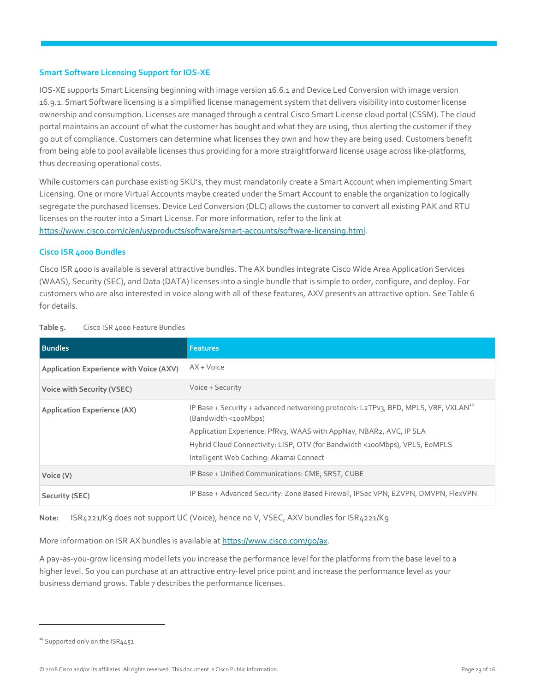#### **Smart Software Licensing Support for IOS-XE**

IOS-XE supports Smart Licensing beginning with image version 16.6.1 and Device Led Conversion with image version 16.9.1. Smart Software licensing is a simplified license management system that delivers visibility into customer license ownership and consumption. Licenses are managed through a central Cisco Smart License cloud portal (CSSM). The cloud portal maintains an account of what the customer has bought and what they are using, thus alerting the customer if they go out of compliance. Customers can determine what licenses they own and how they are being used. Customers benefit from being able to pool available licenses thus providing for a more straightforward license usage across like-platforms, thus decreasing operational costs.

While customers can purchase existing SKU's, they must mandatorily create a Smart Account when implementing Smart Licensing. One or more Virtual Accounts maybe created under the Smart Account to enable the organization to logically segregate the purchased licenses. Device Led Conversion (DLC) allows the customer to convert all existing PAK and RTU licenses on the router into a Smart License. For more information, refer to the link at [https://www.cisco.com/c/en/us/products/software/smart-accounts/software-licensing.html.](https://www.cisco.com/c/en/us/products/software/smart-accounts/software-licensing.html)

#### **Cisco ISR 4000 Bundles**

Cisco ISR 4000 is available is several attractive bundles. The AX bundles integrate Cisco Wide Area Application Services (WAAS), Security (SEC), and Data (DATA) licenses into a single bundle that is simple to order, configure, and deploy. For customers who are also interested in voice along with all of these features, AXV presents an attractive option. See Table 6 for details.

| <b>Bundles</b>                                 | <b>Features</b>                                                                                                                                                                                                                                                                                                          |
|------------------------------------------------|--------------------------------------------------------------------------------------------------------------------------------------------------------------------------------------------------------------------------------------------------------------------------------------------------------------------------|
| <b>Application Experience with Voice (AXV)</b> | $AX + Voice$                                                                                                                                                                                                                                                                                                             |
| <b>Voice with Security (VSEC)</b>              | Voice + Security                                                                                                                                                                                                                                                                                                         |
| <b>Application Experience (AX)</b>             | IP Base + Security + advanced networking protocols: L2TPv3, BFD, MPLS, VRF, VXLAN <sup>10</sup><br>(Bandwidth <100Mbps)<br>Application Experience: PfRv3, WAAS with AppNav, NBAR2, AVC, IP SLA<br>Hybrid Cloud Connectivity: LISP, OTV (for Bandwidth <100Mbps), VPLS, E0MPLS<br>Intelligent Web Caching: Akamai Connect |
| Voice (V)                                      | IP Base + Unified Communications: CME, SRST, CUBE                                                                                                                                                                                                                                                                        |
| Security (SEC)                                 | IP Base + Advanced Security: Zone Based Firewall, IPSec VPN, EZVPN, DMVPN, FlexVPN                                                                                                                                                                                                                                       |

#### **Table 5.** Cisco ISR 4000 Feature Bundles

**Note:** ISR4221/K9 does not support UC (Voice), hence no V, VSEC, AXV bundles for ISR4221/K9

More information on ISR AX bundles is available a[t https://www.cisco.com/go/ax.](https://www.cisco.com/go/ax)

A pay-as-you-grow licensing model lets you increase the performance level for the platforms from the base level to a higher level. So you can purchase at an attractive entry-level price point and increase the performance level as your business demand grows. Table 7 describes the performance licenses.

<sup>&</sup>lt;sup>10</sup> Supported only on the ISR4451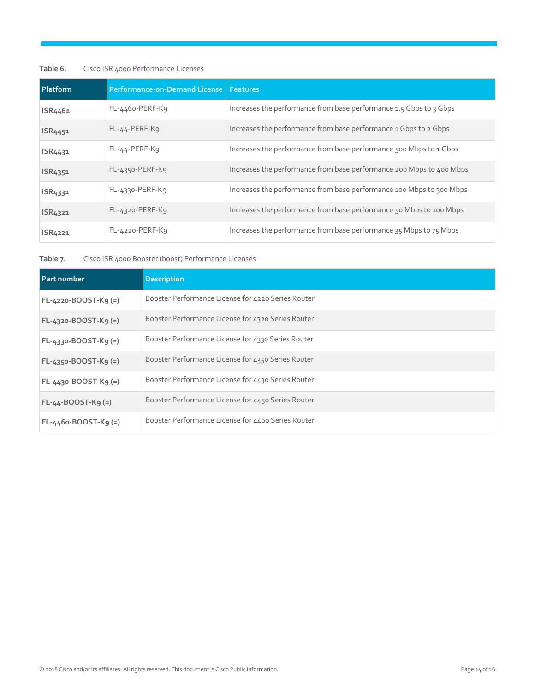#### **Table 6.** Cisco ISR 4000 Performance Licenses

| Platform       | Performance-on-Demand License   Features |                                                                      |
|----------------|------------------------------------------|----------------------------------------------------------------------|
| ISR4461        | $FL-4460-PERF-K9$                        | Increases the performance from base performance 1.5 Gbps to 3 Gbps   |
| ISR4451        | $FL-44-PERF-K9$                          | Increases the performance from base performance 1 Gbps to 2 Gbps     |
| ISR4431        | $FL-44-PERF-K9$                          | Increases the performance from base performance 500 Mbps to 1 Gbps   |
| ISR4351        | $FL-4350-PERF-K9$                        | Increases the performance from base performance 200 Mbps to 400 Mbps |
| ISR4331        | $FL-4330-PERF-K9$                        | Increases the performance from base performance 100 Mbps to 300 Mbps |
| <b>ISR4321</b> | $FL-4320-PERF-K9$                        | Increases the performance from base performance 50 Mbps to 100 Mbps  |
| ISR4221        | $FL-4220-PERF-K9$                        | Increases the performance from base performance 35 Mbps to 75 Mbps   |

**Table 7.** Cisco ISR 4000 Booster (boost) Performance Licenses

| <b>Part number</b>     | <b>Description</b>                                 |
|------------------------|----------------------------------------------------|
| $FL-4220-BOOST-K9 (=)$ | Booster Performance License for 4220 Series Router |
| $FL-4320-BOOST-K9 (=)$ | Booster Performance License for 4320 Series Router |
| $FL-4330-BOOST-K9 (=)$ | Booster Performance License for 4330 Series Router |
| $FL-4350-BOOST-K9 (=)$ | Booster Performance License for 4350 Series Router |
| $FL-4430-BOOST-K9 (=)$ | Booster Performance License for 4430 Series Router |
| $FL-44-BOOST-K9 (=)$   | Booster Performance License for 4450 Series Router |
| $FL-4460-BOOST-K9 (=)$ | Booster Performance License for 4460 Series Router |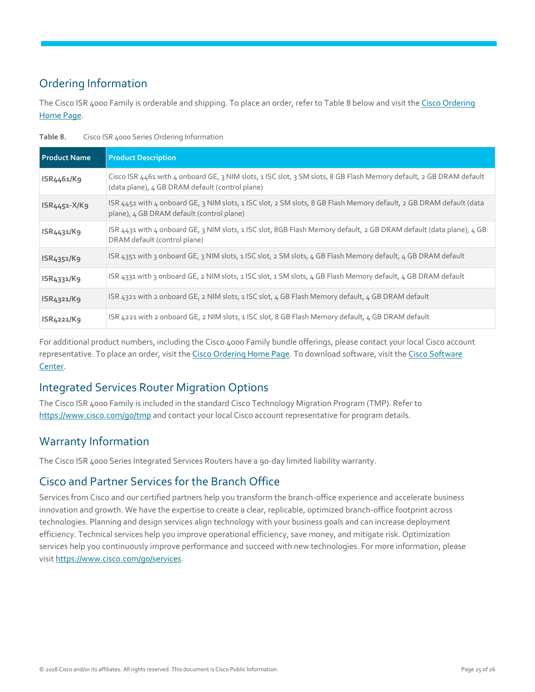## <span id="page-24-0"></span>Ordering Information

The Cisco ISR 4000 Family is orderable and shipping. To place an order, refer to Table 8 below and visit the Cisco [Ordering](https://www.cisco.com/web/ordering/or13/or8/o25/ordering_solutions_category_home.html)  [Home Page.](https://www.cisco.com/web/ordering/or13/or8/o25/ordering_solutions_category_home.html)

| <b>Product Name</b>                 | <b>Product Description</b>                                                                                                                                             |
|-------------------------------------|------------------------------------------------------------------------------------------------------------------------------------------------------------------------|
| ISR4461/K9                          | Cisco ISR 4461 with 4 onboard GE, 3 NIM slots, 1 ISC slot, 3 SM slots, 8 GB Flash Memory default, 2 GB DRAM default<br>(data plane), 4 GB DRAM default (control plane) |
| $ISR4451-X/K9$                      | ISR 4451 with 4 onboard GE, 3 NIM slots, 1 ISC slot, 2 SM slots, 8 GB Flash Memory default, 2 GB DRAM default (data<br>plane), 4 GB DRAM default (control plane)       |
| ISR4431/K9                          | ISR 4431 with 4 onboard GE, 3 NIM slots, 1 ISC slot, 8GB Flash Memory default, 2 GB DRAM default (data plane), 4 GB<br>DRAM default (control plane)                    |
| ISR4351/K9                          | ISR 4351 with 3 onboard GE, 3 NIM slots, 1 ISC slot, 2 SM slots, 4 GB Flash Memory default, 4 GB DRAM default                                                          |
| ISR4331/K9                          | ISR 4331 with 3 onboard GE, 2 NIM slots, 1 ISC slot, 1 SM slots, 4 GB Flash Memory default, 4 GB DRAM default                                                          |
| ISR4321/K9                          | ISR 4321 with 2 onboard GE, 2 NIM slots, 1 ISC slot, 4 GB Flash Memory default, 4 GB DRAM default                                                                      |
| ISR <sub>4221</sub> /K <sub>9</sub> | ISR 4221 with 2 onboard GE, 2 NIM slots, 1 ISC slot, 8 GB Flash Memory default, 4 GB DRAM default                                                                      |

**Table 8.** Cisco ISR 4000 Series Ordering Information

For additional product numbers, including the Cisco 4000 Family bundle offerings, please contact your local Cisco account representative. To place an order, visit th[e Cisco Ordering Home Page.](https://www.cisco.com/en/US/ordering/index.shtml) To download software, visit the Cisco Software [Center.](https://www.cisco.com/public/sw-center/index.shtml)

## Integrated Services Router Migration Options

The Cisco ISR 4000 Family is included in the standard Cisco Technology Migration Program (TMP). Refer to <https://www.cisco.com/go/tmp> and contact your local Cisco account representative for program details.

## <span id="page-24-1"></span>Warranty Information

The Cisco ISR 4000 Series Integrated Services Routers have a 90-day limited liability warranty.

## Cisco and Partner Services for the Branch Office

Services from Cisco and our certified partners help you transform the branch-office experience and accelerate business innovation and growth. We have the expertise to create a clear, replicable, optimized branch-office footprint across technologies. Planning and design services align technology with your business goals and can increase deployment efficiency. Technical services help you improve operational efficiency, save money, and mitigate risk. Optimization services help you continuously improve performance and succeed with new technologies. For more information, please visit [https://www.cisco.com/go/services.](https://www.cisco.com/go/services)